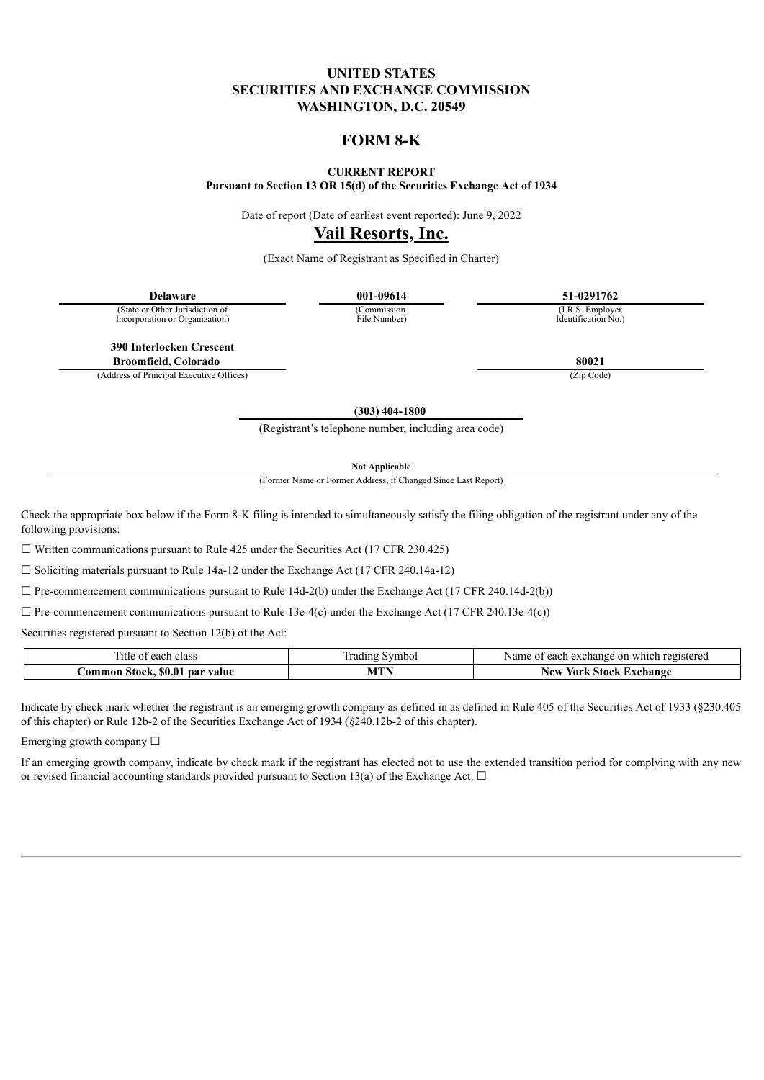## **UNITED STATES SECURITIES AND EXCHANGE COMMISSION WASHINGTON, D.C. 20549**

# **FORM 8-K**

#### **CURRENT REPORT**

**Pursuant to Section 13 OR 15(d) of the Securities Exchange Act of 1934**

Date of report (Date of earliest event reported): June 9, 2022

# **Vail Resorts, Inc.**

(Exact Name of Registrant as Specified in Charter)

**Delaware 001-09614 51-0291762**

(State or Other Jurisdiction of Incorporation or Organization) (Commission File Number) (I.R.S. Employer

Identification No.)

**390 Interlocken Crescent**

**Broomfield, Colorado 80021**

(Address of Principal Executive Offices) (Zip Code)

**(303) 404-1800**

(Registrant's telephone number, including area code)

**Not Applicable**

(Former Name or Former Address, if Changed Since Last Report)

Check the appropriate box below if the Form 8-K filing is intended to simultaneously satisfy the filing obligation of the registrant under any of the following provisions:

☐ Written communications pursuant to Rule 425 under the Securities Act (17 CFR 230.425)

 $\Box$  Soliciting materials pursuant to Rule 14a-12 under the Exchange Act (17 CFR 240.14a-12)

 $\Box$  Pre-commencement communications pursuant to Rule 14d-2(b) under the Exchange Act (17 CFR 240.14d-2(b))

 $\Box$  Pre-commencement communications pursuant to Rule 13e-4(c) under the Exchange Act (17 CFR 240.13e-4(c))

Securities registered pursuant to Section 12(b) of the Act:

| --<br>.itle<br>each<br>ı class<br>- 01                               | -<br>vmbo.<br>rading | registered<br>on<br>Name<br>. exchange<br>which<br>$\sqrt{2}$<br>саст |
|----------------------------------------------------------------------|----------------------|-----------------------------------------------------------------------|
| $\mathbf{a}$<br>$\triangle$<br>SO.O<br>.ommon<br>Stock.<br>par value | <b>AT</b><br>IVI 1   | . York Stocµ<br><i><b>Exchange</b></i><br>New                         |

Indicate by check mark whether the registrant is an emerging growth company as defined in as defined in Rule 405 of the Securities Act of 1933 (§230.405 of this chapter) or Rule 12b-2 of the Securities Exchange Act of 1934 (§240.12b-2 of this chapter).

Emerging growth company ☐

If an emerging growth company, indicate by check mark if the registrant has elected not to use the extended transition period for complying with any new or revised financial accounting standards provided pursuant to Section 13(a) of the Exchange Act.  $\Box$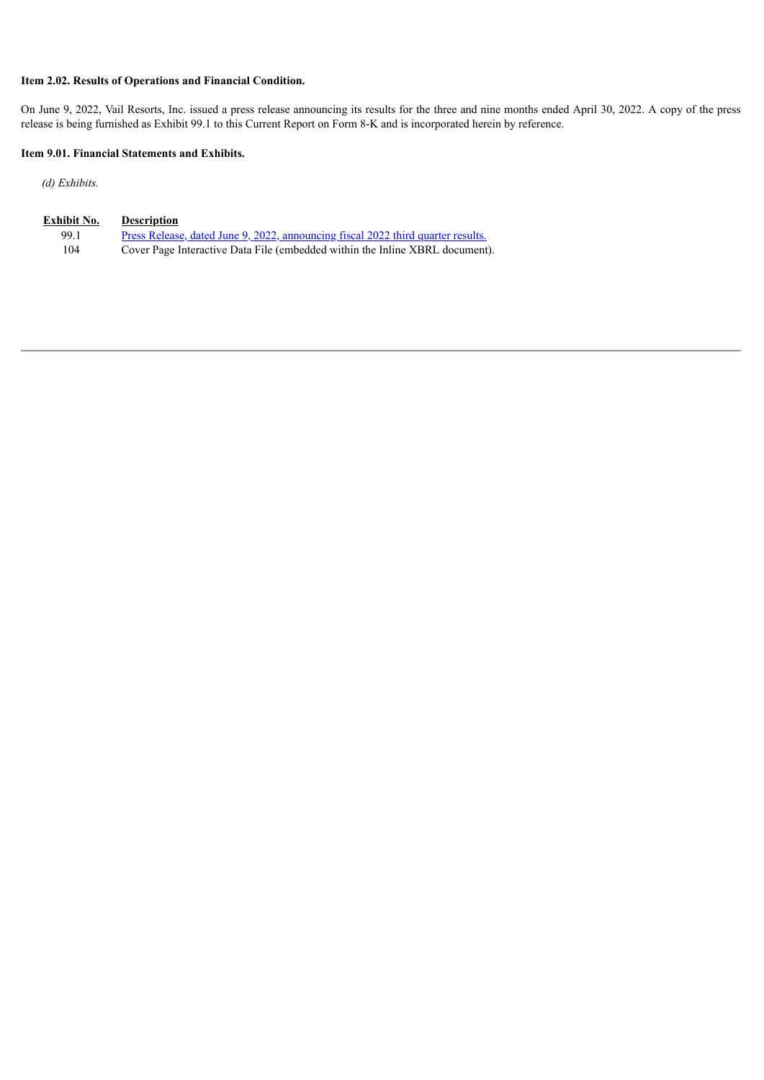## **Item 2.02. Results of Operations and Financial Condition.**

On June 9, 2022, Vail Resorts, Inc. issued a press release announcing its results for the three and nine months ended April 30, 2022. A copy of the press release is being furnished as Exhibit 99.1 to this Current Report on Form 8-K and is incorporated herein by reference.

#### **Item 9.01. Financial Statements and Exhibits.**

*(d) Exhibits.*

| <b>Exhibit No.</b> | <b>Description</b>                                                                      |
|--------------------|-----------------------------------------------------------------------------------------|
| 99.1               | <u>Press Release, dated June 9, 2022, announcing fiscal 2022 third quarter results.</u> |
| 104                | Cover Page Interactive Data File (embedded within the Inline XBRL document).            |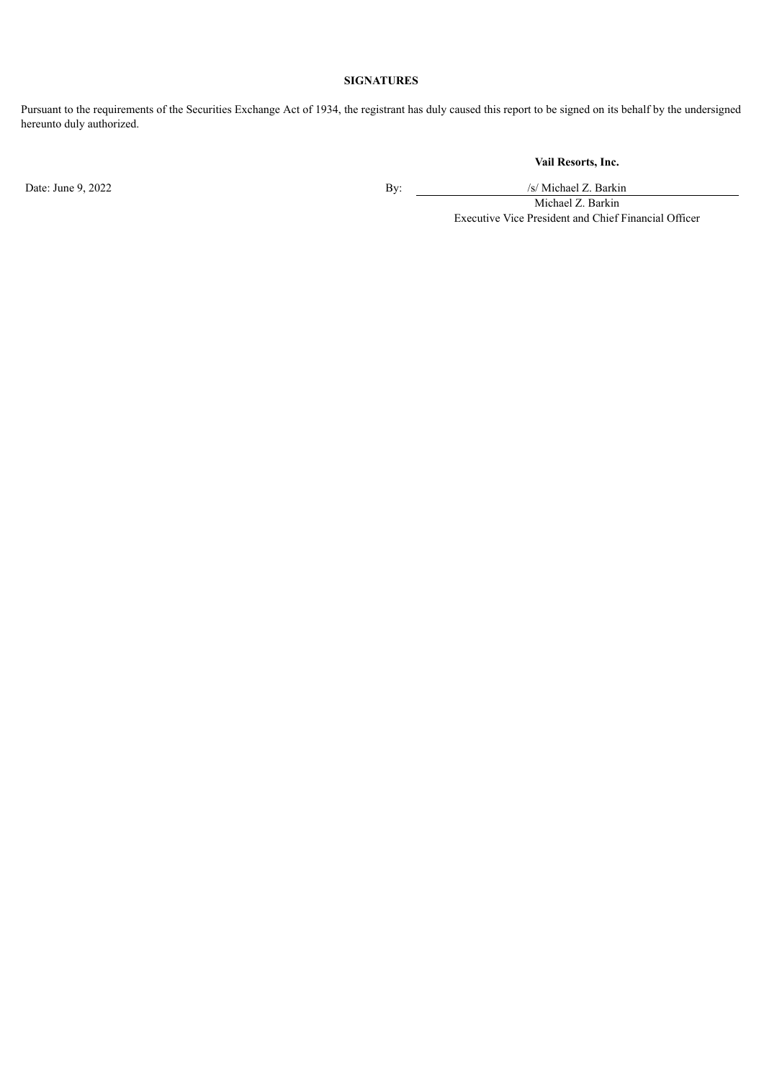#### **SIGNATURES**

Pursuant to the requirements of the Securities Exchange Act of 1934, the registrant has duly caused this report to be signed on its behalf by the undersigned hereunto duly authorized.

**Vail Resorts, Inc.**

Date: June 9, 2022 By: /s/ Michael Z. Barkin

Michael Z. Barkin Executive Vice President and Chief Financial Officer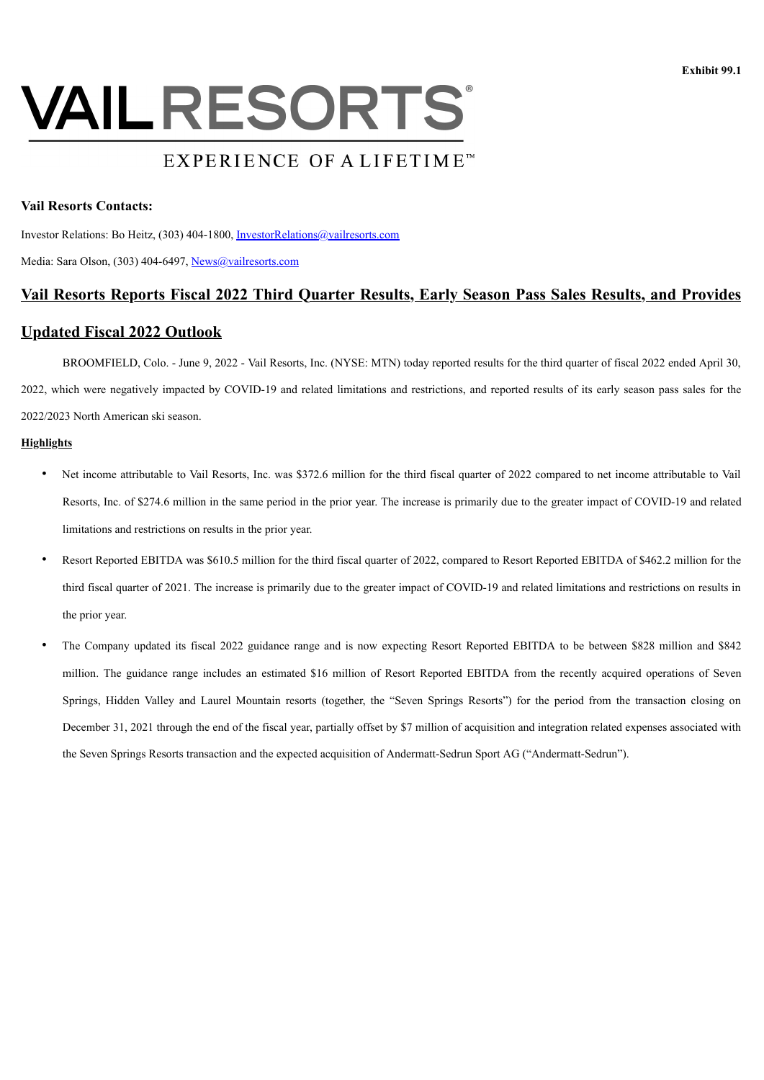# <span id="page-3-0"></span>**VAILRESORTS**

# EXPERIENCE OF A LIFETIME™

# **Vail Resorts Contacts:**

Investor Relations: Bo Heitz, (303) 404-1800, InvestorRelations@vailresorts.com

Media: Sara Olson, (303) 404-6497, News@vailresorts.com

# **Vail Resorts Reports Fiscal 2022 Third Quarter Results, Early Season Pass Sales Results, and Provides**

# **Updated Fiscal 2022 Outlook**

BROOMFIELD, Colo. - June 9, 2022 - Vail Resorts, Inc. (NYSE: MTN) today reported results for the third quarter of fiscal 2022 ended April 30, 2022, which were negatively impacted by COVID-19 and related limitations and restrictions, and reported results of its early season pass sales for the 2022/2023 North American ski season.

#### **Highlights**

- Net income attributable to Vail Resorts, Inc. was \$372.6 million for the third fiscal quarter of 2022 compared to net income attributable to Vail Resorts, Inc. of \$274.6 million in the same period in the prior year. The increase is primarily due to the greater impact of COVID-19 and related limitations and restrictions on results in the prior year.
- Resort Reported EBITDA was \$610.5 million for the third fiscal quarter of 2022, compared to Resort Reported EBITDA of \$462.2 million for the third fiscal quarter of 2021. The increase is primarily due to the greater impact of COVID-19 and related limitations and restrictions on results in the prior year.
- The Company updated its fiscal 2022 guidance range and is now expecting Resort Reported EBITDA to be between \$828 million and \$842 million. The guidance range includes an estimated \$16 million of Resort Reported EBITDA from the recently acquired operations of Seven Springs, Hidden Valley and Laurel Mountain resorts (together, the "Seven Springs Resorts") for the period from the transaction closing on December 31, 2021 through the end of the fiscal year, partially offset by \$7 million of acquisition and integration related expenses associated with the Seven Springs Resorts transaction and the expected acquisition of Andermatt-Sedrun Sport AG ("Andermatt-Sedrun").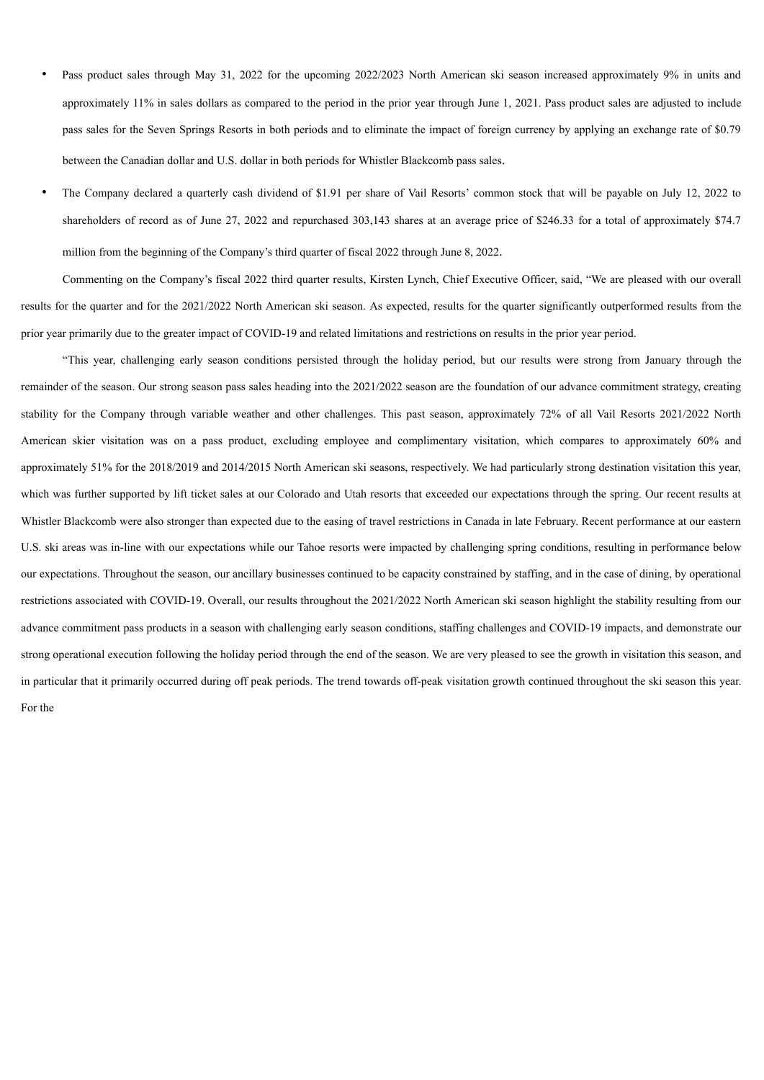- Pass product sales through May 31, 2022 for the upcoming 2022/2023 North American ski season increased approximately 9% in units and approximately 11% in sales dollars as compared to the period in the prior year through June 1, 2021. Pass product sales are adjusted to include pass sales for the Seven Springs Resorts in both periods and to eliminate the impact of foreign currency by applying an exchange rate of \$0.79 between the Canadian dollar and U.S. dollar in both periods for Whistler Blackcomb pass sales.
- The Company declared a quarterly cash dividend of \$1.91 per share of Vail Resorts' common stock that will be payable on July 12, 2022 to shareholders of record as of June 27, 2022 and repurchased 303,143 shares at an average price of \$246.33 for a total of approximately \$74.7 million from the beginning of the Company's third quarter of fiscal 2022 through June 8, 2022.

Commenting on the Company's fiscal 2022 third quarter results, Kirsten Lynch, Chief Executive Officer, said, "We are pleased with our overall results for the quarter and for the 2021/2022 North American ski season. As expected, results for the quarter significantly outperformed results from the prior year primarily due to the greater impact of COVID-19 and related limitations and restrictions on results in the prior year period.

"This year, challenging early season conditions persisted through the holiday period, but our results were strong from January through the remainder of the season. Our strong season pass sales heading into the 2021/2022 season are the foundation of our advance commitment strategy, creating stability for the Company through variable weather and other challenges. This past season, approximately 72% of all Vail Resorts 2021/2022 North American skier visitation was on a pass product, excluding employee and complimentary visitation, which compares to approximately 60% and approximately 51% for the 2018/2019 and 2014/2015 North American ski seasons, respectively. We had particularly strong destination visitation this year, which was further supported by lift ticket sales at our Colorado and Utah resorts that exceeded our expectations through the spring. Our recent results at Whistler Blackcomb were also stronger than expected due to the easing of travel restrictions in Canada in late February. Recent performance at our eastern U.S. ski areas was in-line with our expectations while our Tahoe resorts were impacted by challenging spring conditions, resulting in performance below our expectations. Throughout the season, our ancillary businesses continued to be capacity constrained by staffing, and in the case of dining, by operational restrictions associated with COVID-19. Overall, our results throughout the 2021/2022 North American ski season highlight the stability resulting from our advance commitment pass products in a season with challenging early season conditions, staffing challenges and COVID-19 impacts, and demonstrate our strong operational execution following the holiday period through the end of the season. We are very pleased to see the growth in visitation this season, and in particular that it primarily occurred during off peak periods. The trend towards off-peak visitation growth continued throughout the ski season this year. For the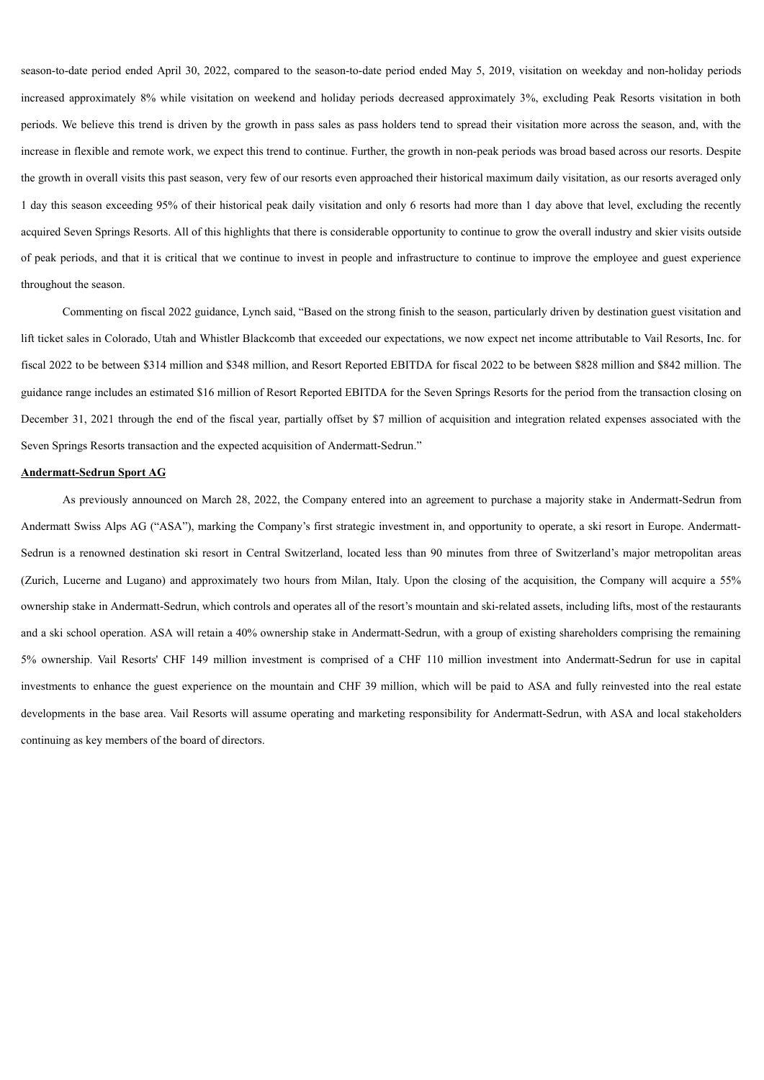season-to-date period ended April 30, 2022, compared to the season-to-date period ended May 5, 2019, visitation on weekday and non-holiday periods increased approximately 8% while visitation on weekend and holiday periods decreased approximately 3%, excluding Peak Resorts visitation in both periods. We believe this trend is driven by the growth in pass sales as pass holders tend to spread their visitation more across the season, and, with the increase in flexible and remote work, we expect this trend to continue. Further, the growth in non-peak periods was broad based across our resorts. Despite the growth in overall visits this past season, very few of our resorts even approached their historical maximum daily visitation, as our resorts averaged only 1 day this season exceeding 95% of their historical peak daily visitation and only 6 resorts had more than 1 day above that level, excluding the recently acquired Seven Springs Resorts. All of this highlights that there is considerable opportunity to continue to grow the overall industry and skier visits outside of peak periods, and that it is critical that we continue to invest in people and infrastructure to continue to improve the employee and guest experience throughout the season.

Commenting on fiscal 2022 guidance, Lynch said, "Based on the strong finish to the season, particularly driven by destination guest visitation and lift ticket sales in Colorado, Utah and Whistler Blackcomb that exceeded our expectations, we now expect net income attributable to Vail Resorts, Inc. for fiscal 2022 to be between \$314 million and \$348 million, and Resort Reported EBITDA for fiscal 2022 to be between \$828 million and \$842 million. The guidance range includes an estimated \$16 million of Resort Reported EBITDA for the Seven Springs Resorts for the period from the transaction closing on December 31, 2021 through the end of the fiscal year, partially offset by \$7 million of acquisition and integration related expenses associated with the Seven Springs Resorts transaction and the expected acquisition of Andermatt-Sedrun."

#### **Andermatt-Sedrun Sport AG**

As previously announced on March 28, 2022, the Company entered into an agreement to purchase a majority stake in Andermatt-Sedrun from Andermatt Swiss Alps AG ("ASA"), marking the Company's first strategic investment in, and opportunity to operate, a ski resort in Europe. Andermatt-Sedrun is a renowned destination ski resort in Central Switzerland, located less than 90 minutes from three of Switzerland's major metropolitan areas (Zurich, Lucerne and Lugano) and approximately two hours from Milan, Italy. Upon the closing of the acquisition, the Company will acquire a 55% ownership stake in Andermatt-Sedrun, which controls and operates all of the resort's mountain and ski-related assets, including lifts, most of the restaurants and a ski school operation. ASA will retain a 40% ownership stake in Andermatt-Sedrun, with a group of existing shareholders comprising the remaining 5% ownership. Vail Resorts' CHF 149 million investment is comprised of a CHF 110 million investment into Andermatt-Sedrun for use in capital investments to enhance the guest experience on the mountain and CHF 39 million, which will be paid to ASA and fully reinvested into the real estate developments in the base area. Vail Resorts will assume operating and marketing responsibility for Andermatt-Sedrun, with ASA and local stakeholders continuing as key members of the board of directors.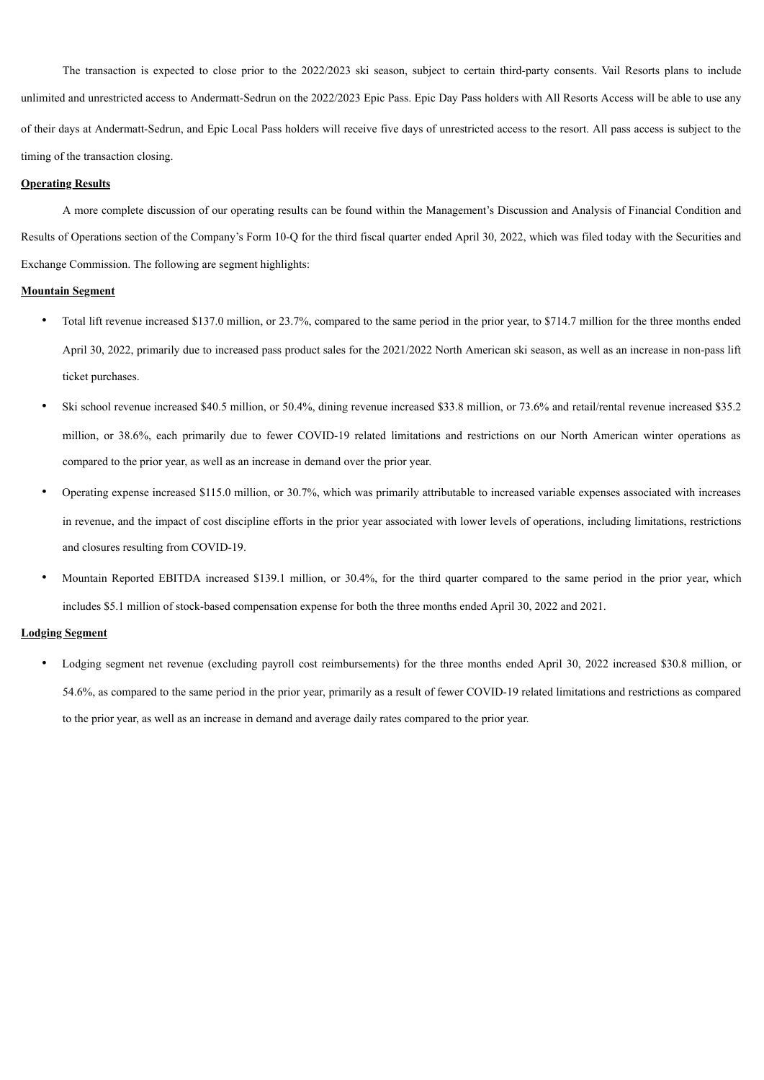The transaction is expected to close prior to the 2022/2023 ski season, subject to certain third-party consents. Vail Resorts plans to include unlimited and unrestricted access to Andermatt-Sedrun on the 2022/2023 Epic Pass. Epic Day Pass holders with All Resorts Access will be able to use any of their days at Andermatt-Sedrun, and Epic Local Pass holders will receive five days of unrestricted access to the resort. All pass access is subject to the timing of the transaction closing.

#### **Operating Results**

A more complete discussion of our operating results can be found within the Management's Discussion and Analysis of Financial Condition and Results of Operations section of the Company's Form 10-Q for the third fiscal quarter ended April 30, 2022, which was filed today with the Securities and Exchange Commission. The following are segment highlights:

#### **Mountain Segment**

- Total lift revenue increased \$137.0 million, or 23.7%, compared to the same period in the prior year, to \$714.7 million for the three months ended April 30, 2022, primarily due to increased pass product sales for the 2021/2022 North American ski season, as well as an increase in non-pass lift ticket purchases.
- Ski school revenue increased \$40.5 million, or 50.4%, dining revenue increased \$33.8 million, or 73.6% and retail/rental revenue increased \$35.2 million, or 38.6%, each primarily due to fewer COVID-19 related limitations and restrictions on our North American winter operations as compared to the prior year, as well as an increase in demand over the prior year.
- Operating expense increased \$115.0 million, or 30.7%, which was primarily attributable to increased variable expenses associated with increases in revenue, and the impact of cost discipline efforts in the prior year associated with lower levels of operations, including limitations, restrictions and closures resulting from COVID-19.
- Mountain Reported EBITDA increased \$139.1 million, or 30.4%, for the third quarter compared to the same period in the prior year, which includes \$5.1 million of stock-based compensation expense for both the three months ended April 30, 2022 and 2021.

#### **Lodging Segment**

• Lodging segment net revenue (excluding payroll cost reimbursements) for the three months ended April 30, 2022 increased \$30.8 million, or 54.6%, as compared to the same period in the prior year, primarily as a result of fewer COVID-19 related limitations and restrictions as compared to the prior year, as well as an increase in demand and average daily rates compared to the prior year.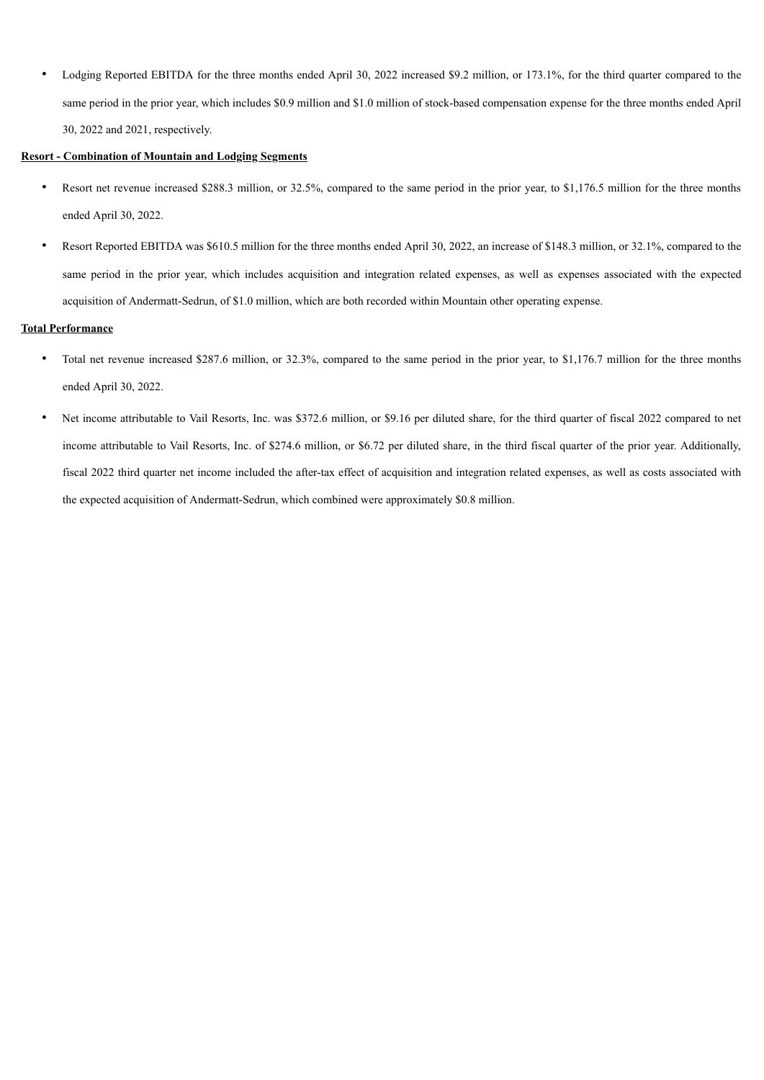• Lodging Reported EBITDA for the three months ended April 30, 2022 increased \$9.2 million, or 173.1%, for the third quarter compared to the same period in the prior year, which includes \$0.9 million and \$1.0 million of stock-based compensation expense for the three months ended April 30, 2022 and 2021, respectively.

#### **Resort - Combination of Mountain and Lodging Segments**

- Resort net revenue increased \$288.3 million, or 32.5%, compared to the same period in the prior year, to \$1,176.5 million for the three months ended April 30, 2022.
- Resort Reported EBITDA was \$610.5 million for the three months ended April 30, 2022, an increase of \$148.3 million, or 32.1%, compared to the same period in the prior year, which includes acquisition and integration related expenses, as well as expenses associated with the expected acquisition of Andermatt-Sedrun, of \$1.0 million, which are both recorded within Mountain other operating expense.

#### **Total Performance**

- Total net revenue increased \$287.6 million, or 32.3%, compared to the same period in the prior year, to \$1,176.7 million for the three months ended April 30, 2022.
- Net income attributable to Vail Resorts, Inc. was \$372.6 million, or \$9.16 per diluted share, for the third quarter of fiscal 2022 compared to net income attributable to Vail Resorts, Inc. of \$274.6 million, or \$6.72 per diluted share, in the third fiscal quarter of the prior year. Additionally, fiscal 2022 third quarter net income included the after-tax effect of acquisition and integration related expenses, as well as costs associated with the expected acquisition of Andermatt-Sedrun, which combined were approximately \$0.8 million.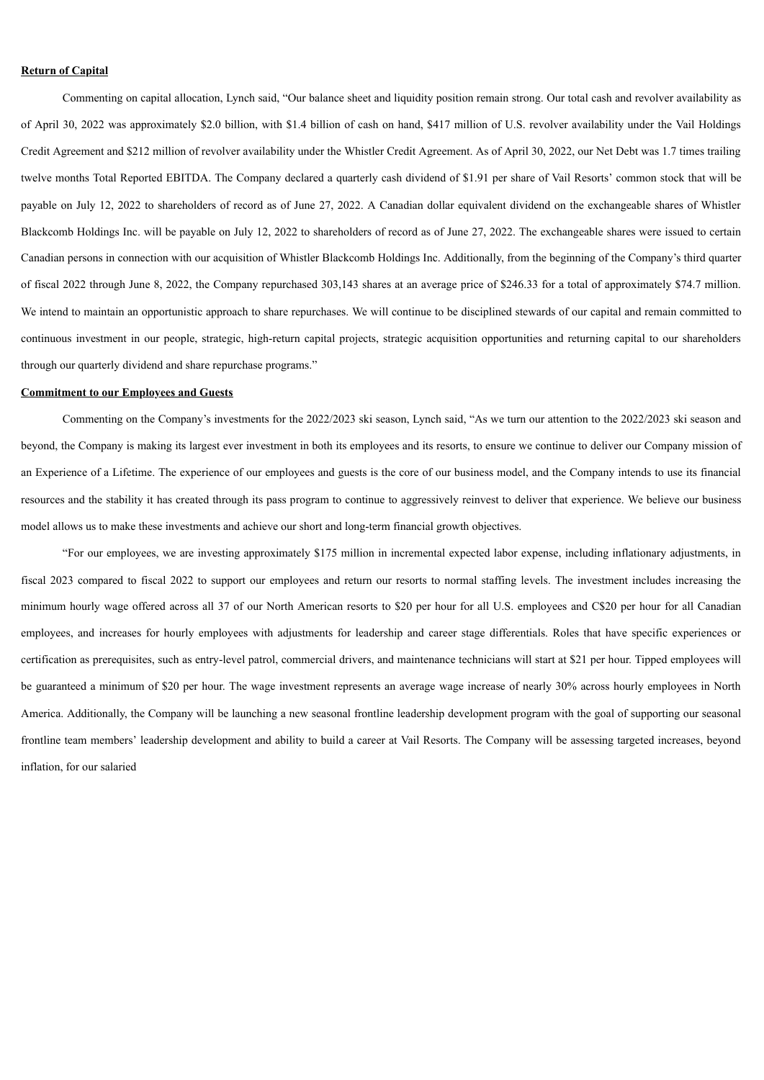#### **Return of Capital**

Commenting on capital allocation, Lynch said, "Our balance sheet and liquidity position remain strong. Our total cash and revolver availability as of April 30, 2022 was approximately \$2.0 billion, with \$1.4 billion of cash on hand, \$417 million of U.S. revolver availability under the Vail Holdings Credit Agreement and \$212 million of revolver availability under the Whistler Credit Agreement. As of April 30, 2022, our Net Debt was 1.7 times trailing twelve months Total Reported EBITDA. The Company declared a quarterly cash dividend of \$1.91 per share of Vail Resorts' common stock that will be payable on July 12, 2022 to shareholders of record as of June 27, 2022. A Canadian dollar equivalent dividend on the exchangeable shares of Whistler Blackcomb Holdings Inc. will be payable on July 12, 2022 to shareholders of record as of June 27, 2022. The exchangeable shares were issued to certain Canadian persons in connection with our acquisition of Whistler Blackcomb Holdings Inc. Additionally, from the beginning of the Company's third quarter of fiscal 2022 through June 8, 2022, the Company repurchased 303,143 shares at an average price of \$246.33 for a total of approximately \$74.7 million. We intend to maintain an opportunistic approach to share repurchases. We will continue to be disciplined stewards of our capital and remain committed to continuous investment in our people, strategic, high-return capital projects, strategic acquisition opportunities and returning capital to our shareholders through our quarterly dividend and share repurchase programs."

#### **Commitment to our Employees and Guests**

Commenting on the Company's investments for the 2022/2023 ski season, Lynch said, "As we turn our attention to the 2022/2023 ski season and beyond, the Company is making its largest ever investment in both its employees and its resorts, to ensure we continue to deliver our Company mission of an Experience of a Lifetime. The experience of our employees and guests is the core of our business model, and the Company intends to use its financial resources and the stability it has created through its pass program to continue to aggressively reinvest to deliver that experience. We believe our business model allows us to make these investments and achieve our short and long-term financial growth objectives.

"For our employees, we are investing approximately \$175 million in incremental expected labor expense, including inflationary adjustments, in fiscal 2023 compared to fiscal 2022 to support our employees and return our resorts to normal staffing levels. The investment includes increasing the minimum hourly wage offered across all 37 of our North American resorts to \$20 per hour for all U.S. employees and C\$20 per hour for all Canadian employees, and increases for hourly employees with adjustments for leadership and career stage differentials. Roles that have specific experiences or certification as prerequisites, such as entry-level patrol, commercial drivers, and maintenance technicians will start at \$21 per hour. Tipped employees will be guaranteed a minimum of \$20 per hour. The wage investment represents an average wage increase of nearly 30% across hourly employees in North America. Additionally, the Company will be launching a new seasonal frontline leadership development program with the goal of supporting our seasonal frontline team members' leadership development and ability to build a career at Vail Resorts. The Company will be assessing targeted increases, beyond inflation, for our salaried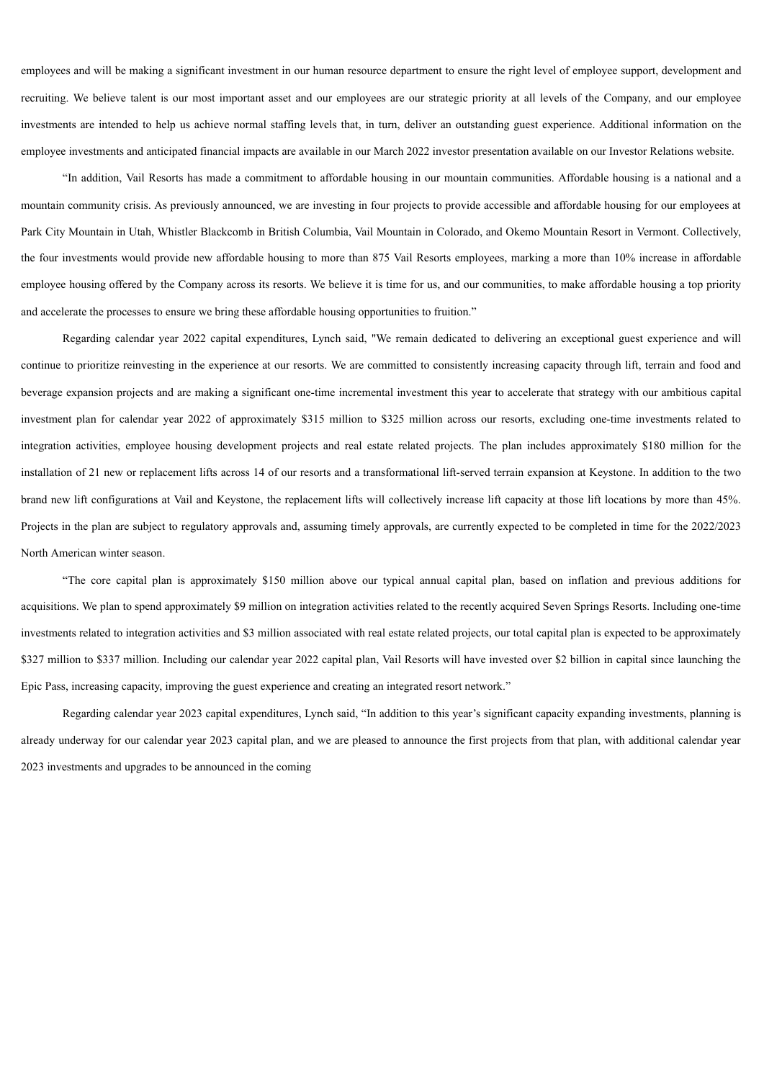employees and will be making a significant investment in our human resource department to ensure the right level of employee support, development and recruiting. We believe talent is our most important asset and our employees are our strategic priority at all levels of the Company, and our employee investments are intended to help us achieve normal staffing levels that, in turn, deliver an outstanding guest experience. Additional information on the employee investments and anticipated financial impacts are available in our March 2022 investor presentation available on our Investor Relations website.

"In addition, Vail Resorts has made a commitment to affordable housing in our mountain communities. Affordable housing is a national and a mountain community crisis. As previously announced, we are investing in four projects to provide accessible and affordable housing for our employees at Park City Mountain in Utah, Whistler Blackcomb in British Columbia, Vail Mountain in Colorado, and Okemo Mountain Resort in Vermont. Collectively, the four investments would provide new affordable housing to more than 875 Vail Resorts employees, marking a more than 10% increase in affordable employee housing offered by the Company across its resorts. We believe it is time for us, and our communities, to make affordable housing a top priority and accelerate the processes to ensure we bring these affordable housing opportunities to fruition."

Regarding calendar year 2022 capital expenditures, Lynch said, "We remain dedicated to delivering an exceptional guest experience and will continue to prioritize reinvesting in the experience at our resorts. We are committed to consistently increasing capacity through lift, terrain and food and beverage expansion projects and are making a significant one-time incremental investment this year to accelerate that strategy with our ambitious capital investment plan for calendar year 2022 of approximately \$315 million to \$325 million across our resorts, excluding one-time investments related to integration activities, employee housing development projects and real estate related projects. The plan includes approximately \$180 million for the installation of 21 new or replacement lifts across 14 of our resorts and a transformational lift-served terrain expansion at Keystone. In addition to the two brand new lift configurations at Vail and Keystone, the replacement lifts will collectively increase lift capacity at those lift locations by more than 45%. Projects in the plan are subject to regulatory approvals and, assuming timely approvals, are currently expected to be completed in time for the 2022/2023 North American winter season.

"The core capital plan is approximately \$150 million above our typical annual capital plan, based on inflation and previous additions for acquisitions. We plan to spend approximately \$9 million on integration activities related to the recently acquired Seven Springs Resorts. Including one-time investments related to integration activities and \$3 million associated with real estate related projects, our total capital plan is expected to be approximately \$327 million to \$337 million. Including our calendar year 2022 capital plan, Vail Resorts will have invested over \$2 billion in capital since launching the Epic Pass, increasing capacity, improving the guest experience and creating an integrated resort network."

Regarding calendar year 2023 capital expenditures, Lynch said, "In addition to this year's significant capacity expanding investments, planning is already underway for our calendar year 2023 capital plan, and we are pleased to announce the first projects from that plan, with additional calendar year 2023 investments and upgrades to be announced in the coming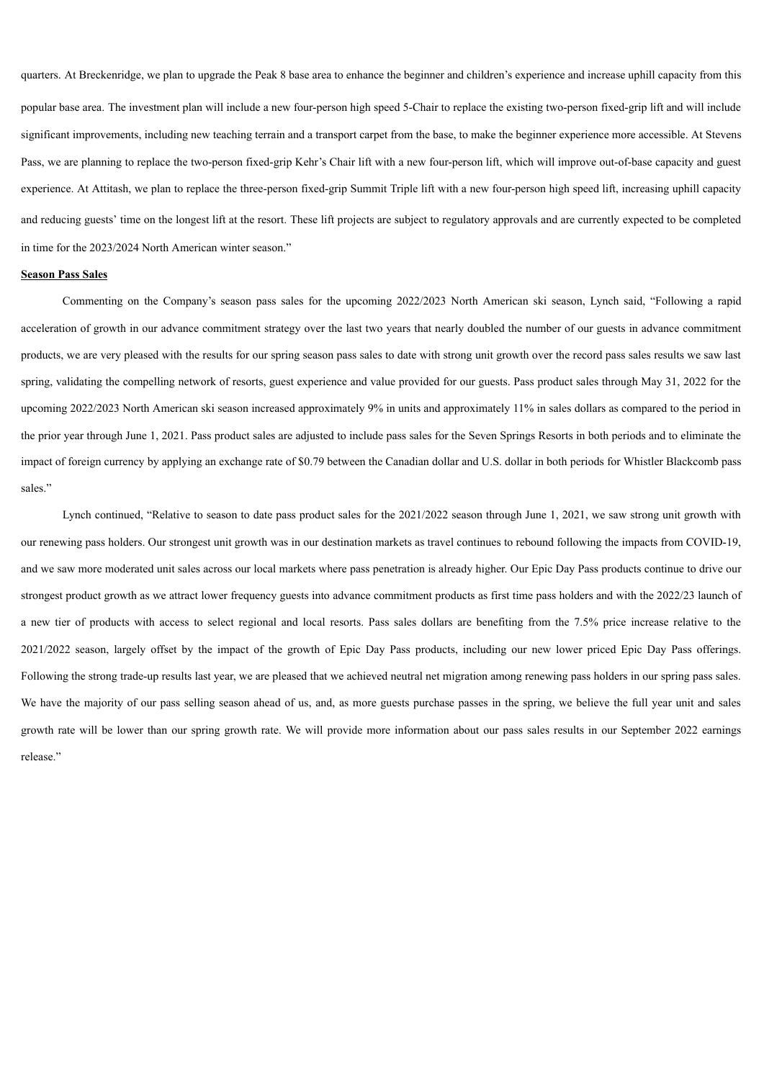quarters. At Breckenridge, we plan to upgrade the Peak 8 base area to enhance the beginner and children's experience and increase uphill capacity from this popular base area. The investment plan will include a new four-person high speed 5-Chair to replace the existing two-person fixed-grip lift and will include significant improvements, including new teaching terrain and a transport carpet from the base, to make the beginner experience more accessible. At Stevens Pass, we are planning to replace the two-person fixed-grip Kehr's Chair lift with a new four-person lift, which will improve out-of-base capacity and guest experience. At Attitash, we plan to replace the three-person fixed-grip Summit Triple lift with a new four-person high speed lift, increasing uphill capacity and reducing guests' time on the longest lift at the resort. These lift projects are subject to regulatory approvals and are currently expected to be completed in time for the 2023/2024 North American winter season."

#### **Season Pass Sales**

Commenting on the Company's season pass sales for the upcoming 2022/2023 North American ski season, Lynch said, "Following a rapid acceleration of growth in our advance commitment strategy over the last two years that nearly doubled the number of our guests in advance commitment products, we are very pleased with the results for our spring season pass sales to date with strong unit growth over the record pass sales results we saw last spring, validating the compelling network of resorts, guest experience and value provided for our guests. Pass product sales through May 31, 2022 for the upcoming 2022/2023 North American ski season increased approximately 9% in units and approximately 11% in sales dollars as compared to the period in the prior year through June 1, 2021. Pass product sales are adjusted to include pass sales for the Seven Springs Resorts in both periods and to eliminate the impact of foreign currency by applying an exchange rate of \$0.79 between the Canadian dollar and U.S. dollar in both periods for Whistler Blackcomb pass sales."

Lynch continued, "Relative to season to date pass product sales for the 2021/2022 season through June 1, 2021, we saw strong unit growth with our renewing pass holders. Our strongest unit growth was in our destination markets as travel continues to rebound following the impacts from COVID-19, and we saw more moderated unit sales across our local markets where pass penetration is already higher. Our Epic Day Pass products continue to drive our strongest product growth as we attract lower frequency guests into advance commitment products as first time pass holders and with the 2022/23 launch of a new tier of products with access to select regional and local resorts. Pass sales dollars are benefiting from the 7.5% price increase relative to the 2021/2022 season, largely offset by the impact of the growth of Epic Day Pass products, including our new lower priced Epic Day Pass offerings. Following the strong trade-up results last year, we are pleased that we achieved neutral net migration among renewing pass holders in our spring pass sales. We have the majority of our pass selling season ahead of us, and, as more guests purchase passes in the spring, we believe the full year unit and sales growth rate will be lower than our spring growth rate. We will provide more information about our pass sales results in our September 2022 earnings release."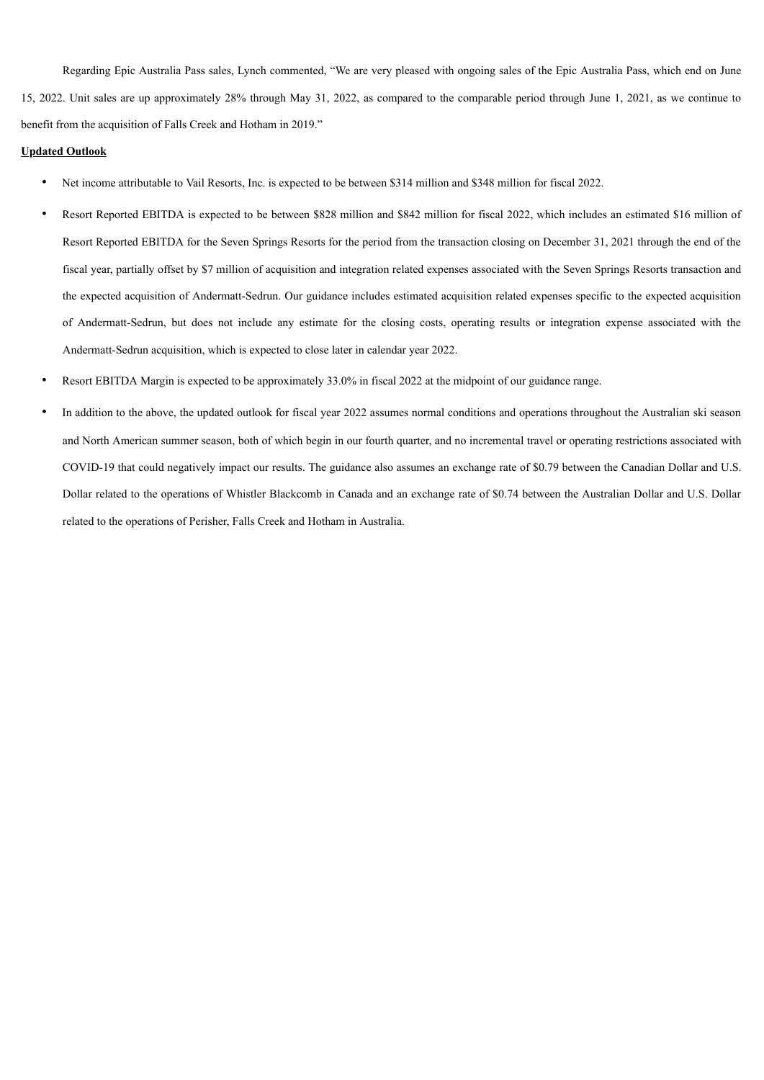Regarding Epic Australia Pass sales, Lynch commented, "We are very pleased with ongoing sales of the Epic Australia Pass, which end on June 15, 2022. Unit sales are up approximately 28% through May 31, 2022, as compared to the comparable period through June 1, 2021, as we continue to benefit from the acquisition of Falls Creek and Hotham in 2019."

#### **Updated Outlook**

- Net income attributable to Vail Resorts, Inc. is expected to be between \$314 million and \$348 million for fiscal 2022.
- Resort Reported EBITDA is expected to be between \$828 million and \$842 million for fiscal 2022, which includes an estimated \$16 million of Resort Reported EBITDA for the Seven Springs Resorts for the period from the transaction closing on December 31, 2021 through the end of the fiscal year, partially offset by \$7 million of acquisition and integration related expenses associated with the Seven Springs Resorts transaction and the expected acquisition of Andermatt-Sedrun. Our guidance includes estimated acquisition related expenses specific to the expected acquisition of Andermatt-Sedrun, but does not include any estimate for the closing costs, operating results or integration expense associated with the Andermatt-Sedrun acquisition, which is expected to close later in calendar year 2022.
- Resort EBITDA Margin is expected to be approximately 33.0% in fiscal 2022 at the midpoint of our guidance range.
- In addition to the above, the updated outlook for fiscal year 2022 assumes normal conditions and operations throughout the Australian ski season and North American summer season, both of which begin in our fourth quarter, and no incremental travel or operating restrictions associated with COVID-19 that could negatively impact our results. The guidance also assumes an exchange rate of \$0.79 between the Canadian Dollar and U.S. Dollar related to the operations of Whistler Blackcomb in Canada and an exchange rate of \$0.74 between the Australian Dollar and U.S. Dollar related to the operations of Perisher, Falls Creek and Hotham in Australia.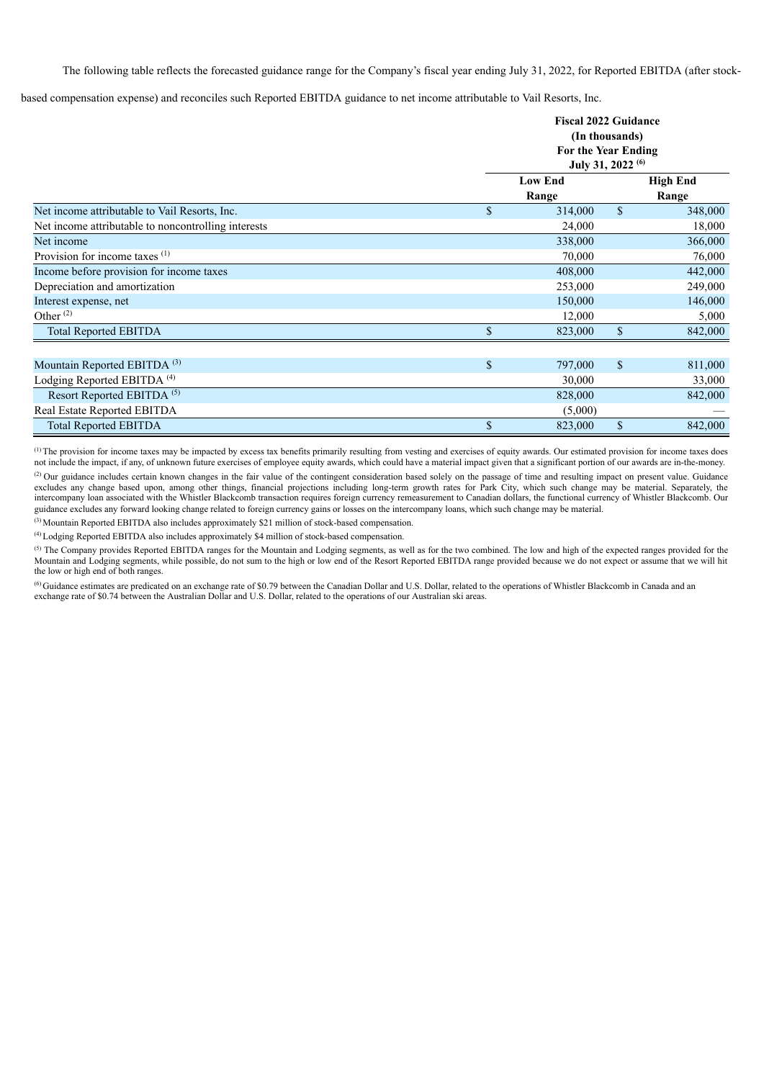The following table reflects the forecasted guidance range for the Company's fiscal year ending July 31, 2022, for Reported EBITDA (after stock-

based compensation expense) and reconciles such Reported EBITDA guidance to net income attributable to Vail Resorts, Inc.

|                                                     |              | <b>Fiscal 2022 Guidance</b><br>(In thousands)<br>For the Year Ending<br>July 31, 2022 <sup>(6)</sup> |             |                 |  |  |  |  |
|-----------------------------------------------------|--------------|------------------------------------------------------------------------------------------------------|-------------|-----------------|--|--|--|--|
|                                                     |              | <b>Low End</b>                                                                                       |             | <b>High End</b> |  |  |  |  |
|                                                     |              | Range                                                                                                |             | Range           |  |  |  |  |
| Net income attributable to Vail Resorts, Inc.       | \$           | 314,000                                                                                              | $\mathbf S$ | 348,000         |  |  |  |  |
| Net income attributable to noncontrolling interests |              | 24,000                                                                                               |             | 18,000          |  |  |  |  |
| Net income                                          |              | 338,000                                                                                              |             | 366,000         |  |  |  |  |
| Provision for income taxes $(1)$                    |              | 70,000                                                                                               |             | 76,000          |  |  |  |  |
| Income before provision for income taxes            |              | 408,000                                                                                              |             | 442,000         |  |  |  |  |
| Depreciation and amortization                       |              | 253,000                                                                                              |             | 249,000         |  |  |  |  |
| Interest expense, net                               |              | 150,000                                                                                              |             | 146,000         |  |  |  |  |
| Other <sup>(2)</sup>                                |              | 12,000                                                                                               |             | 5,000           |  |  |  |  |
| <b>Total Reported EBITDA</b>                        | $\mathbf{s}$ | 823,000                                                                                              | \$          | 842,000         |  |  |  |  |
|                                                     |              |                                                                                                      |             |                 |  |  |  |  |
| Mountain Reported EBITDA <sup>(3)</sup>             | $\mathbf{s}$ | 797,000                                                                                              | $\mathbf S$ | 811,000         |  |  |  |  |
| Lodging Reported EBITDA <sup>(4)</sup>              |              | 30,000                                                                                               |             | 33,000          |  |  |  |  |
| Resort Reported EBITDA <sup>(5)</sup>               |              | 828,000                                                                                              |             | 842,000         |  |  |  |  |
| Real Estate Reported EBITDA                         |              | (5,000)                                                                                              |             |                 |  |  |  |  |
| <b>Total Reported EBITDA</b>                        | \$           | 823,000                                                                                              | \$          | 842,000         |  |  |  |  |

 $\sigma^{(1)}$  The provision for income taxes may be impacted by excess tax benefits primarily resulting from vesting and exercises of equity awards. Our estimated provision for income taxes does not include the impact, if any, of unknown future exercises of employee equity awards, which could have a material impact given that a significant portion of our awards are in-the-money.

(2) Our guidance includes certain known changes in the fair value of the contingent consideration based solely on the passage of time and resulting impact on present value. Guidance excludes any change based upon, among other things, financial projections including long-term growth rates for Park City, which such change may be material. Separately, the intercompany loan associated with the Whistler Blackcomb transaction requires foreign currency remeasurement to Canadian dollars, the functional currency of Whistler Blackcomb. Our intercompany loan associated with the Whi guidance excludes any forward looking change related to foreign currency gains or losses on the intercompany loans, which such change may be material.

 $^{(3)}$  Mountain Reported EBITDA also includes approximately \$21 million of stock-based compensation.

Lodging Reported EBITDA also includes approximately \$4 million of stock-based compensation. (4)

The Company provides Reported EBITDA ranges for the Mountain and Lodging segments, as well as for the two combined. The low and high of the expected ranges provided for the Mountain and Lodging segments, while possible, do not sum to the high or low end of the Resort Reported EBITDA range provided because we do not expect or assume that we will hit the low or high end of both ranges. (5)

 $^{(6)}$  Guidance estimates are predicated on an exchange rate of \$0.79 between the Canadian Dollar and U.S. Dollar, related to the operations of Whistler Blackcomb in Canada and an exchange rate of \$0.74 between the Australian Dollar and U.S. Dollar, related to the operations of our Australian ski areas.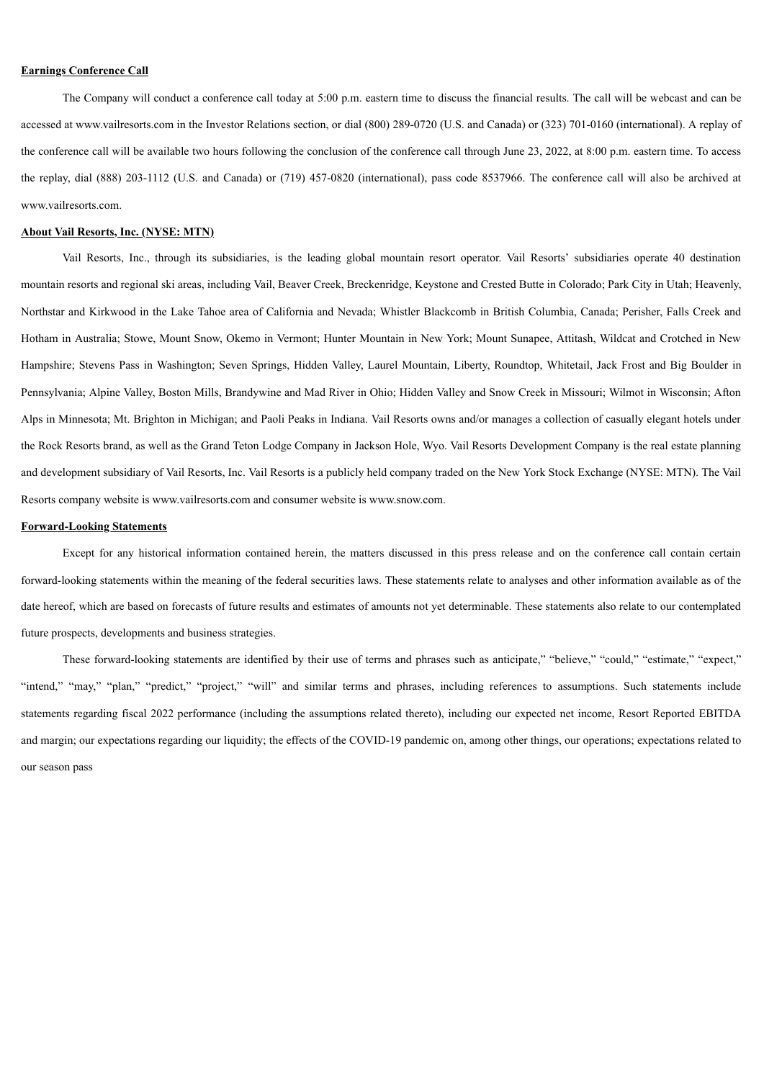#### **Earnings Conference Call**

The Company will conduct a conference call today at 5:00 p.m. eastern time to discuss the financial results. The call will be webcast and can be accessed at www.vailresorts.com in the Investor Relations section, or dial (800) 289-0720 (U.S. and Canada) or (323) 701-0160 (international). A replay of the conference call will be available two hours following the conclusion of the conference call through June 23, 2022, at 8:00 p.m. eastern time. To access the replay, dial (888) 203-1112 (U.S. and Canada) or (719) 457-0820 (international), pass code 8537966. The conference call will also be archived at www.vailresorts.com.

#### **About Vail Resorts, Inc. (NYSE: MTN)**

Vail Resorts, Inc., through its subsidiaries, is the leading global mountain resort operator. Vail Resorts' subsidiaries operate 40 destination mountain resorts and regional ski areas, including Vail, Beaver Creek, Breckenridge, Keystone and Crested Butte in Colorado; Park City in Utah; Heavenly, Northstar and Kirkwood in the Lake Tahoe area of California and Nevada; Whistler Blackcomb in British Columbia, Canada; Perisher, Falls Creek and Hotham in Australia; Stowe, Mount Snow, Okemo in Vermont; Hunter Mountain in New York; Mount Sunapee, Attitash, Wildcat and Crotched in New Hampshire; Stevens Pass in Washington; Seven Springs, Hidden Valley, Laurel Mountain, Liberty, Roundtop, Whitetail, Jack Frost and Big Boulder in Pennsylvania; Alpine Valley, Boston Mills, Brandywine and Mad River in Ohio; Hidden Valley and Snow Creek in Missouri; Wilmot in Wisconsin; Afton Alps in Minnesota; Mt. Brighton in Michigan; and Paoli Peaks in Indiana. Vail Resorts owns and/or manages a collection of casually elegant hotels under the Rock Resorts brand, as well as the Grand Teton Lodge Company in Jackson Hole, Wyo. Vail Resorts Development Company is the real estate planning and development subsidiary of Vail Resorts, Inc. Vail Resorts is a publicly held company traded on the New York Stock Exchange (NYSE: MTN). The Vail Resorts company website is www.vailresorts.com and consumer website is www.snow.com.

#### **Forward-Looking Statements**

Except for any historical information contained herein, the matters discussed in this press release and on the conference call contain certain forward-looking statements within the meaning of the federal securities laws. These statements relate to analyses and other information available as of the date hereof, which are based on forecasts of future results and estimates of amounts not yet determinable. These statements also relate to our contemplated future prospects, developments and business strategies.

These forward-looking statements are identified by their use of terms and phrases such as anticipate," "believe," "could," "estimate," "expect," "intend," "may," "plan," "predict," "project," "will" and similar terms and phrases, including references to assumptions. Such statements include statements regarding fiscal 2022 performance (including the assumptions related thereto), including our expected net income, Resort Reported EBITDA and margin; our expectations regarding our liquidity; the effects of the COVID-19 pandemic on, among other things, our operations; expectations related to our season pass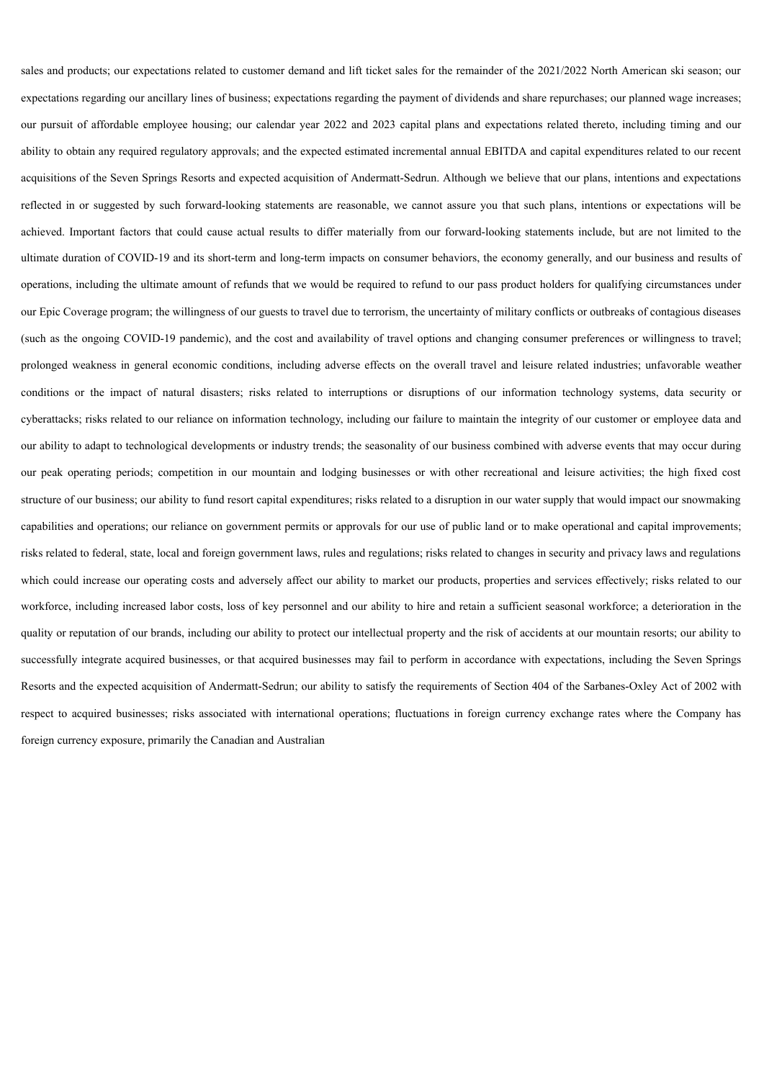sales and products; our expectations related to customer demand and lift ticket sales for the remainder of the 2021/2022 North American ski season; our expectations regarding our ancillary lines of business; expectations regarding the payment of dividends and share repurchases; our planned wage increases; our pursuit of affordable employee housing; our calendar year 2022 and 2023 capital plans and expectations related thereto, including timing and our ability to obtain any required regulatory approvals; and the expected estimated incremental annual EBITDA and capital expenditures related to our recent acquisitions of the Seven Springs Resorts and expected acquisition of Andermatt-Sedrun. Although we believe that our plans, intentions and expectations reflected in or suggested by such forward-looking statements are reasonable, we cannot assure you that such plans, intentions or expectations will be achieved. Important factors that could cause actual results to differ materially from our forward-looking statements include, but are not limited to the ultimate duration of COVID-19 and its short-term and long-term impacts on consumer behaviors, the economy generally, and our business and results of operations, including the ultimate amount of refunds that we would be required to refund to our pass product holders for qualifying circumstances under our Epic Coverage program; the willingness of our guests to travel due to terrorism, the uncertainty of military conflicts or outbreaks of contagious diseases (such as the ongoing COVID-19 pandemic), and the cost and availability of travel options and changing consumer preferences or willingness to travel; prolonged weakness in general economic conditions, including adverse effects on the overall travel and leisure related industries; unfavorable weather conditions or the impact of natural disasters; risks related to interruptions or disruptions of our information technology systems, data security or cyberattacks; risks related to our reliance on information technology, including our failure to maintain the integrity of our customer or employee data and our ability to adapt to technological developments or industry trends; the seasonality of our business combined with adverse events that may occur during our peak operating periods; competition in our mountain and lodging businesses or with other recreational and leisure activities; the high fixed cost structure of our business; our ability to fund resort capital expenditures; risks related to a disruption in our water supply that would impact our snowmaking capabilities and operations; our reliance on government permits or approvals for our use of public land or to make operational and capital improvements; risks related to federal, state, local and foreign government laws, rules and regulations; risks related to changes in security and privacy laws and regulations which could increase our operating costs and adversely affect our ability to market our products, properties and services effectively; risks related to our workforce, including increased labor costs, loss of key personnel and our ability to hire and retain a sufficient seasonal workforce; a deterioration in the quality or reputation of our brands, including our ability to protect our intellectual property and the risk of accidents at our mountain resorts; our ability to successfully integrate acquired businesses, or that acquired businesses may fail to perform in accordance with expectations, including the Seven Springs Resorts and the expected acquisition of Andermatt-Sedrun; our ability to satisfy the requirements of Section 404 of the Sarbanes-Oxley Act of 2002 with respect to acquired businesses; risks associated with international operations; fluctuations in foreign currency exchange rates where the Company has foreign currency exposure, primarily the Canadian and Australian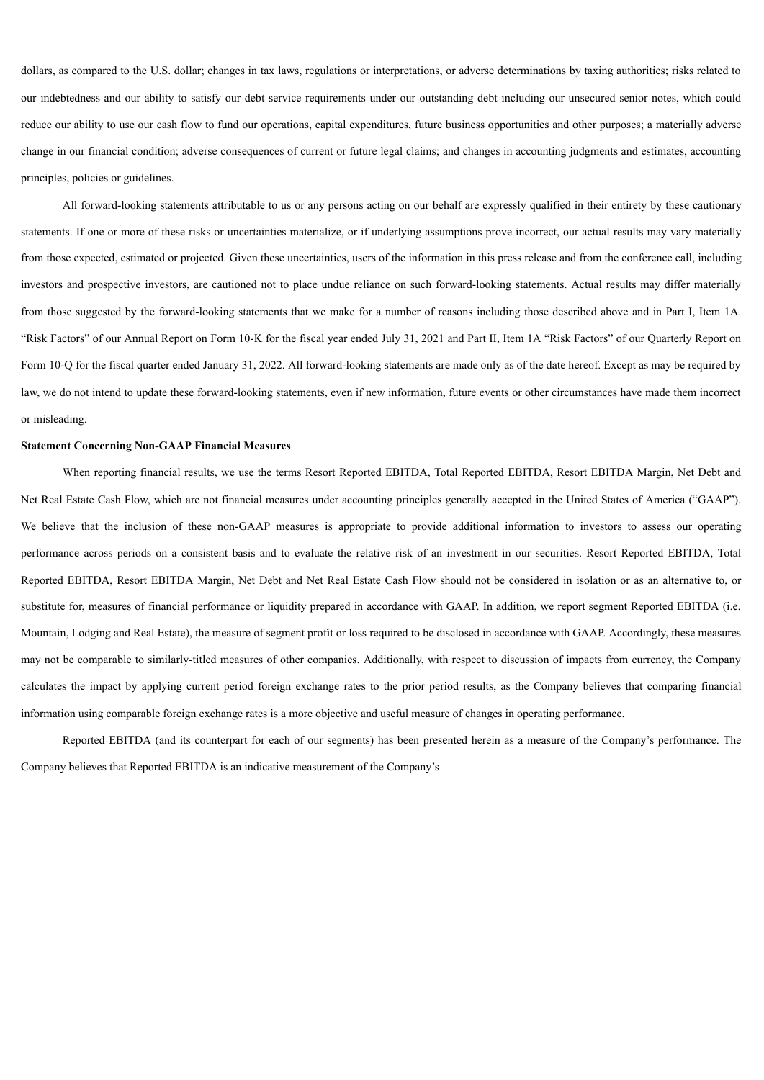dollars, as compared to the U.S. dollar; changes in tax laws, regulations or interpretations, or adverse determinations by taxing authorities; risks related to our indebtedness and our ability to satisfy our debt service requirements under our outstanding debt including our unsecured senior notes, which could reduce our ability to use our cash flow to fund our operations, capital expenditures, future business opportunities and other purposes; a materially adverse change in our financial condition; adverse consequences of current or future legal claims; and changes in accounting judgments and estimates, accounting principles, policies or guidelines.

All forward-looking statements attributable to us or any persons acting on our behalf are expressly qualified in their entirety by these cautionary statements. If one or more of these risks or uncertainties materialize, or if underlying assumptions prove incorrect, our actual results may vary materially from those expected, estimated or projected. Given these uncertainties, users of the information in this press release and from the conference call, including investors and prospective investors, are cautioned not to place undue reliance on such forward-looking statements. Actual results may differ materially from those suggested by the forward-looking statements that we make for a number of reasons including those described above and in Part I, Item 1A. "Risk Factors" of our Annual Report on Form 10-K for the fiscal year ended July 31, 2021 and Part II, Item 1A "Risk Factors" of our Quarterly Report on Form 10-Q for the fiscal quarter ended January 31, 2022. All forward-looking statements are made only as of the date hereof. Except as may be required by law, we do not intend to update these forward-looking statements, even if new information, future events or other circumstances have made them incorrect or misleading.

#### **Statement Concerning Non-GAAP Financial Measures**

When reporting financial results, we use the terms Resort Reported EBITDA, Total Reported EBITDA, Resort EBITDA Margin, Net Debt and Net Real Estate Cash Flow, which are not financial measures under accounting principles generally accepted in the United States of America ("GAAP"). We believe that the inclusion of these non-GAAP measures is appropriate to provide additional information to investors to assess our operating performance across periods on a consistent basis and to evaluate the relative risk of an investment in our securities. Resort Reported EBITDA, Total Reported EBITDA, Resort EBITDA Margin, Net Debt and Net Real Estate Cash Flow should not be considered in isolation or as an alternative to, or substitute for, measures of financial performance or liquidity prepared in accordance with GAAP. In addition, we report segment Reported EBITDA (i.e. Mountain, Lodging and Real Estate), the measure of segment profit or loss required to be disclosed in accordance with GAAP. Accordingly, these measures may not be comparable to similarly-titled measures of other companies. Additionally, with respect to discussion of impacts from currency, the Company calculates the impact by applying current period foreign exchange rates to the prior period results, as the Company believes that comparing financial information using comparable foreign exchange rates is a more objective and useful measure of changes in operating performance.

Reported EBITDA (and its counterpart for each of our segments) has been presented herein as a measure of the Company's performance. The Company believes that Reported EBITDA is an indicative measurement of the Company's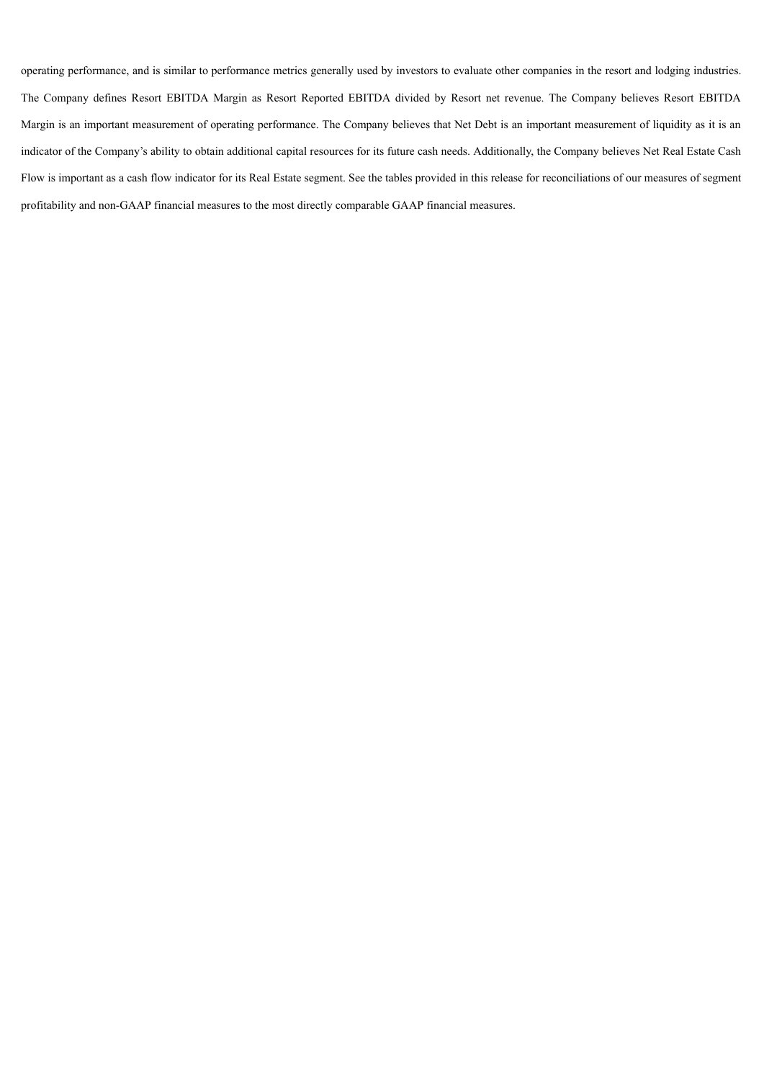operating performance, and is similar to performance metrics generally used by investors to evaluate other companies in the resort and lodging industries. The Company defines Resort EBITDA Margin as Resort Reported EBITDA divided by Resort net revenue. The Company believes Resort EBITDA Margin is an important measurement of operating performance. The Company believes that Net Debt is an important measurement of liquidity as it is an indicator of the Company's ability to obtain additional capital resources for its future cash needs. Additionally, the Company believes Net Real Estate Cash Flow is important as a cash flow indicator for its Real Estate segment. See the tables provided in this release for reconciliations of our measures of segment profitability and non-GAAP financial measures to the most directly comparable GAAP financial measures.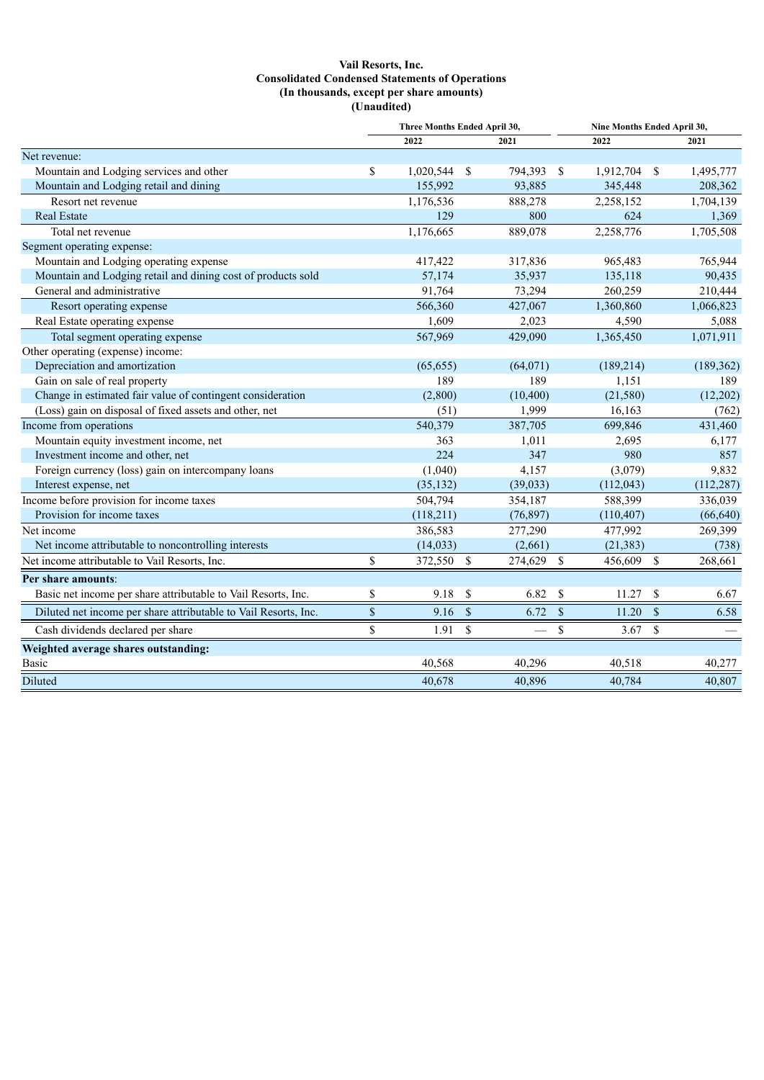#### **Vail Resorts, Inc. Consolidated Condensed Statements of Operations (In thousands, except per share amounts) (Unaudited)**

|                                                                 |                      | Three Months Ended April 30, |               |                          | Nine Months Ended April 30, |               |            |
|-----------------------------------------------------------------|----------------------|------------------------------|---------------|--------------------------|-----------------------------|---------------|------------|
|                                                                 |                      | 2022                         |               | 2021                     | 2022                        |               | 2021       |
| Net revenue:                                                    |                      |                              |               |                          |                             |               |            |
| Mountain and Lodging services and other                         | \$                   | 1,020,544                    | \$            | 794,393<br><sup>\$</sup> | 1,912,704 \$                |               | 1,495,777  |
| Mountain and Lodging retail and dining                          |                      | 155,992                      |               | 93,885                   | 345,448                     |               | 208,362    |
| Resort net revenue                                              |                      | 1,176,536                    |               | 888,278                  | 2,258,152                   |               | 1,704,139  |
| <b>Real Estate</b>                                              |                      | 129                          |               | 800                      | 624                         |               | 1,369      |
| Total net revenue                                               |                      | 1,176,665                    |               | 889,078                  | 2,258,776                   |               | 1,705,508  |
| Segment operating expense:                                      |                      |                              |               |                          |                             |               |            |
| Mountain and Lodging operating expense                          |                      | 417,422                      |               | 317,836                  | 965,483                     |               | 765,944    |
| Mountain and Lodging retail and dining cost of products sold    |                      | 57,174                       |               | 35,937                   | 135,118                     |               | 90,435     |
| General and administrative                                      |                      | 91,764                       |               | 73,294                   | 260,259                     |               | 210,444    |
| Resort operating expense                                        |                      | 566,360                      |               | 427,067                  | 1,360,860                   |               | 1,066,823  |
| Real Estate operating expense                                   |                      | 1,609                        |               | 2,023                    | 4,590                       |               | 5,088      |
| Total segment operating expense                                 |                      | 567,969                      |               | 429,090                  | 1,365,450                   |               | 1,071,911  |
| Other operating (expense) income:                               |                      |                              |               |                          |                             |               |            |
| Depreciation and amortization                                   |                      | (65, 655)                    |               | (64,071)                 | (189, 214)                  |               | (189, 362) |
| Gain on sale of real property                                   |                      | 189                          |               | 189                      | 1,151                       |               | 189        |
| Change in estimated fair value of contingent consideration      |                      | (2,800)                      |               | (10, 400)                | (21, 580)                   |               | (12,202)   |
| (Loss) gain on disposal of fixed assets and other, net          |                      | (51)                         |               | 1,999                    | 16,163                      |               | (762)      |
| Income from operations                                          |                      | 540,379                      |               | 387,705                  | 699,846                     |               | 431,460    |
| Mountain equity investment income, net                          |                      | 363                          |               | 1,011                    | 2,695                       |               | 6,177      |
| Investment income and other, net                                |                      | 224                          |               | 347                      | 980                         |               | 857        |
| Foreign currency (loss) gain on intercompany loans              |                      | (1,040)                      |               | 4,157                    | (3,079)                     |               | 9,832      |
| Interest expense, net                                           |                      | (35, 132)                    |               | (39,033)                 | (112, 043)                  |               | (112, 287) |
| Income before provision for income taxes                        |                      | 504,794                      |               | 354,187                  | 588,399                     |               | 336,039    |
| Provision for income taxes                                      |                      | (118,211)                    |               | (76, 897)                | (110, 407)                  |               | (66, 640)  |
| Net income                                                      |                      | 386,583                      |               | 277,290                  | 477,992                     |               | 269,399    |
| Net income attributable to noncontrolling interests             |                      | (14, 033)                    |               | (2,661)                  | (21, 383)                   |               | (738)      |
| Net income attributable to Vail Resorts, Inc.                   | \$                   | 372,550                      | $\mathbf S$   | 274,629<br><sup>\$</sup> | 456,609                     | $\mathbf S$   | 268,661    |
| Per share amounts:                                              |                      |                              |               |                          |                             |               |            |
| Basic net income per share attributable to Vail Resorts, Inc.   | \$                   | 9.18                         | \$            | 6.82<br><sup>\$</sup>    | 11.27                       | \$            | 6.67       |
| Diluted net income per share attributable to Vail Resorts, Inc. | $\sqrt{\frac{1}{2}}$ | 9.16                         | $\mathcal{S}$ | 6.72<br>$\sqrt{\ }$      | 11.20                       | $\mathcal{S}$ | 6.58       |
| Cash dividends declared per share                               | \$                   | 1.91                         | $\mathsf{\$}$ | $\mathbf S$              | 3.67                        | $\mathcal{S}$ |            |
| Weighted average shares outstanding:                            |                      |                              |               |                          |                             |               |            |
| <b>Basic</b>                                                    |                      | 40,568                       |               | 40,296                   | 40,518                      |               | 40,277     |
| Diluted                                                         |                      | 40,678                       |               | 40,896                   | 40,784                      |               | 40,807     |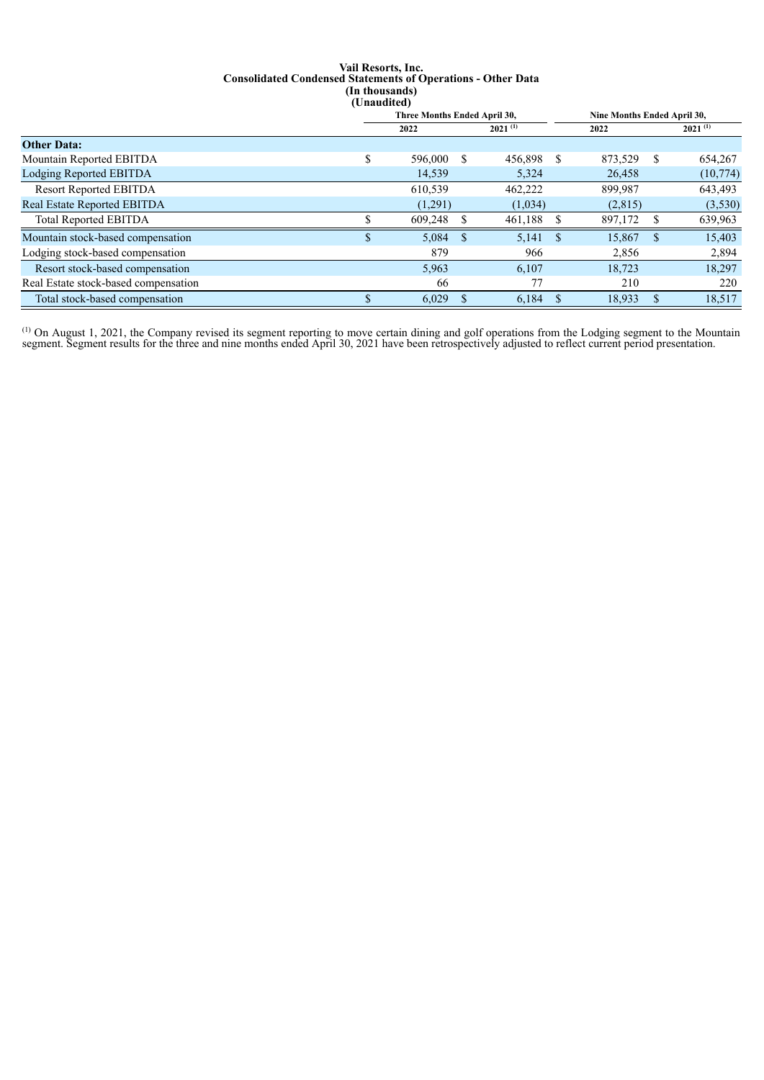#### **Vail Resorts, Inc. Consolidated Condensed Statements of Operations - Other Data (In thousands) (Unaudited)**

|                                      |    | Three Months Ended April 30, |  | Nine Months Ended April 30, |      |         |     |              |
|--------------------------------------|----|------------------------------|--|-----------------------------|------|---------|-----|--------------|
|                                      |    | 2022                         |  | $2021^{(1)}$                |      | 2022    |     | $2021^{(1)}$ |
| <b>Other Data:</b>                   |    |                              |  |                             |      |         |     |              |
| Mountain Reported EBITDA             | \$ | 596,000 \$                   |  | 456,898 \$                  |      | 873,529 | - S | 654,267      |
| Lodging Reported EBITDA              |    | 14,539                       |  | 5,324                       |      | 26,458  |     | (10,774)     |
| <b>Resort Reported EBITDA</b>        |    | 610,539                      |  | 462,222                     |      | 899,987 |     | 643,493      |
| <b>Real Estate Reported EBITDA</b>   |    | (1,291)                      |  | (1,034)                     |      | (2,815) |     | (3,530)      |
| <b>Total Reported EBITDA</b>         |    | 609,248                      |  | 461,188                     |      | 897,172 |     | 639,963      |
| Mountain stock-based compensation    | D  | 5,084                        |  | 5,141                       | - \$ | 15,867  | -S  | 15,403       |
| Lodging stock-based compensation     |    | 879                          |  | 966                         |      | 2,856   |     | 2,894        |
| Resort stock-based compensation      |    | 5,963                        |  | 6,107                       |      | 18.723  |     | 18,297       |
| Real Estate stock-based compensation |    | 66                           |  | 77                          |      | 210     |     | 220          |
| Total stock-based compensation       |    | 6,029                        |  | 6,184                       |      | 18,933  |     | 18,517       |

On August 1, 2021, the Company revised its segment reporting to move certain dining and golf operations from the Lodging segment to the Mountain segment. Segment results for the three and nine months ended April 30, 2021 have been retrospectively adjusted to reflect current period presentation. (1)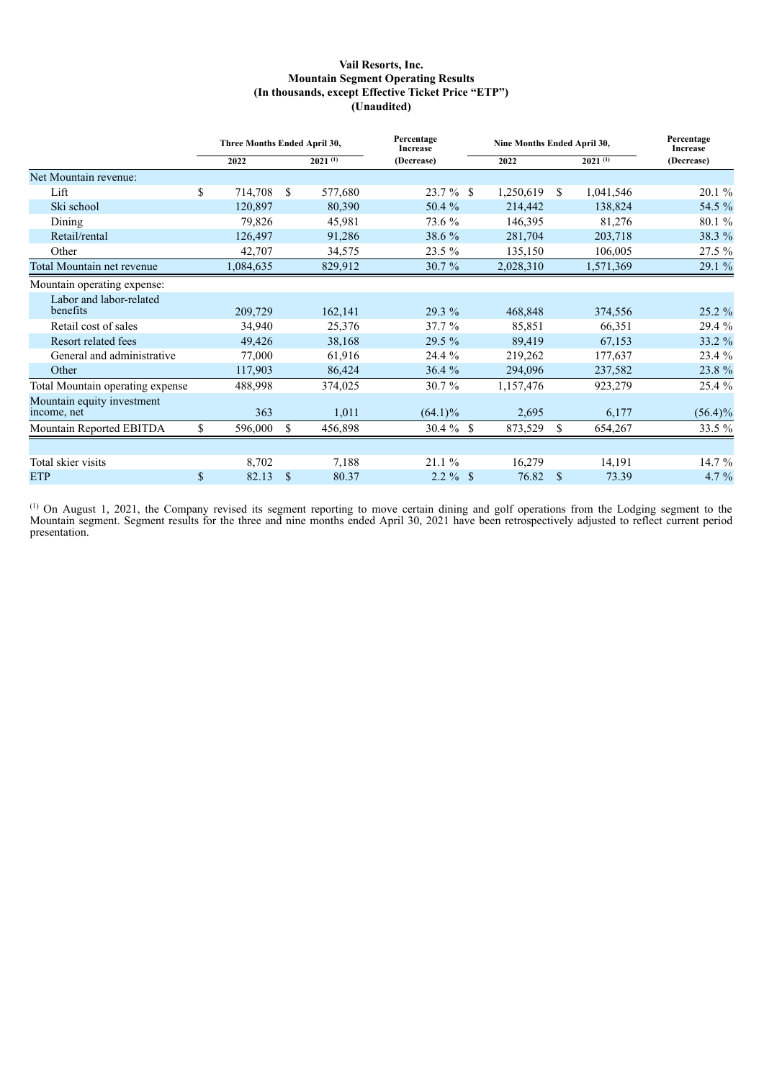#### **Vail Resorts, Inc. Mountain Segment Operating Results (In thousands, except Effective Ticket Price "ETP") (Unaudited)**

|                                  | Three Months Ended April 30, |               |              | Percentage<br><b>Increase</b> |  | Nine Months Ended April 30, |     | Percentage<br>Increase |            |
|----------------------------------|------------------------------|---------------|--------------|-------------------------------|--|-----------------------------|-----|------------------------|------------|
|                                  | 2022                         |               | $2021^{(1)}$ | (Decrease)                    |  | 2022                        |     | $2021^{(1)}$           | (Decrease) |
| Net Mountain revenue:            |                              |               |              |                               |  |                             |     |                        |            |
| Lift                             | \$<br>714,708                | <sup>\$</sup> | 577,680      | $23.7\%$ \$                   |  | 1,250,619                   | \$. | 1,041,546              | 20.1 %     |
| Ski school                       | 120,897                      |               | 80,390       | 50.4 %                        |  | 214,442                     |     | 138,824                | 54.5 %     |
| Dining                           | 79,826                       |               | 45,981       | 73.6 %                        |  | 146,395                     |     | 81,276                 | 80.1 %     |
| Retail/rental                    | 126,497                      |               | 91,286       | 38.6 %                        |  | 281,704                     |     | 203,718                | 38.3 %     |
| Other                            | 42,707                       |               | 34,575       | 23.5 %                        |  | 135,150                     |     | 106,005                | 27.5 %     |
| Total Mountain net revenue       | 1,084,635                    |               | 829,912      | 30.7 %                        |  | 2,028,310                   |     | 1,571,369              | 29.1 %     |
| Mountain operating expense:      |                              |               |              |                               |  |                             |     |                        |            |
| Labor and labor-related          |                              |               |              |                               |  |                             |     |                        |            |
| benefits                         | 209,729                      |               | 162,141      | 29.3 %                        |  | 468,848                     |     | 374,556                | 25.2 %     |
| Retail cost of sales             | 34,940                       |               | 25,376       | 37.7%                         |  | 85,851                      |     | 66,351                 | 29.4 %     |
| Resort related fees              | 49,426                       |               | 38,168       | 29.5 %                        |  | 89,419                      |     | 67,153                 | 33.2 %     |
| General and administrative       | 77,000                       |               | 61,916       | 24.4 %                        |  | 219,262                     |     | 177,637                | 23.4 %     |
| Other                            | 117,903                      |               | 86,424       | 36.4 %                        |  | 294,096                     |     | 237,582                | 23.8 %     |
| Total Mountain operating expense | 488,998                      |               | 374,025      | 30.7%                         |  | 1,157,476                   |     | 923,279                | 25.4 %     |
| Mountain equity investment       |                              |               |              |                               |  |                             |     |                        |            |
| income, net                      | 363                          |               | 1,011        | $(64.1)\%$                    |  | 2,695                       |     | 6,177                  | $(56.4)\%$ |
| Mountain Reported EBITDA         | \$<br>596,000                | \$            | 456,898      | 30.4 % \$                     |  | 873,529                     | S.  | 654,267                | 33.5 %     |
|                                  |                              |               |              |                               |  |                             |     |                        |            |
| Total skier visits               | 8,702                        |               | 7,188        | 21.1 %                        |  | 16,279                      |     | 14,191                 | $14.7\%$   |
| <b>ETP</b>                       | \$<br>82.13                  | $\mathbf S$   | 80.37        | $2.2 \%$ \$                   |  | 76.82                       | S   | 73.39                  | $4.7\%$    |

(1) On August 1, 2021, the Company revised its segment reporting to move certain dining and golf operations from the Lodging segment to the Mountain segment. Segment results for the three and nine months ended April 30, 2 presentation.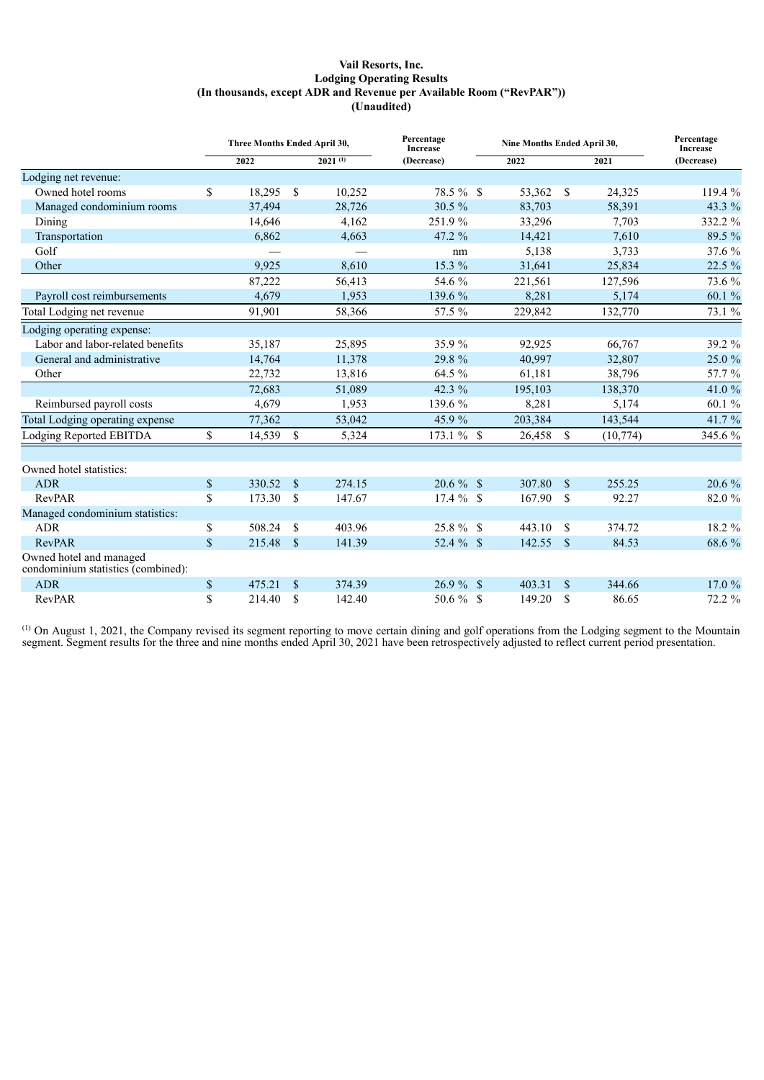#### **Vail Resorts, Inc. Lodging Operating Results (In thousands, except ADR and Revenue per Available Room ("RevPAR")) (Unaudited)**

|                                                               |                    | Three Months Ended April 30, |               |              | Percentage<br>Increase |  |         |               |           |            |  | Nine Months Ended April 30, |  | Percentage<br>Increase |
|---------------------------------------------------------------|--------------------|------------------------------|---------------|--------------|------------------------|--|---------|---------------|-----------|------------|--|-----------------------------|--|------------------------|
|                                                               |                    | 2022                         |               | $2021^{(1)}$ | (Decrease)             |  | 2022    |               | 2021      | (Decrease) |  |                             |  |                        |
| Lodging net revenue:                                          |                    |                              |               |              |                        |  |         |               |           |            |  |                             |  |                        |
| Owned hotel rooms                                             | \$                 | 18,295                       | <sup>\$</sup> | 10,252       | 78.5% \$               |  | 53,362  | \$            | 24,325    | 119.4 %    |  |                             |  |                        |
| Managed condominium rooms                                     |                    | 37,494                       |               | 28,726       | 30.5 %                 |  | 83,703  |               | 58,391    | 43.3 %     |  |                             |  |                        |
| Dining                                                        |                    | 14,646                       |               | 4,162        | 251.9%                 |  | 33,296  |               | 7,703     | 332.2 %    |  |                             |  |                        |
| Transportation                                                |                    | 6,862                        |               | 4,663        | 47.2 %                 |  | 14,421  |               | 7,610     | 89.5 %     |  |                             |  |                        |
| Golf                                                          |                    |                              |               |              | nm                     |  | 5,138   |               | 3,733     | 37.6 %     |  |                             |  |                        |
| Other                                                         |                    | 9,925                        |               | 8.610        | 15.3 %                 |  | 31,641  |               | 25,834    | 22.5 %     |  |                             |  |                        |
|                                                               |                    | 87,222                       |               | 56,413       | 54.6 %                 |  | 221,561 |               | 127,596   | 73.6 %     |  |                             |  |                        |
| Payroll cost reimbursements                                   |                    | 4,679                        |               | 1,953        | 139.6 %                |  | 8,281   |               | 5,174     | 60.1%      |  |                             |  |                        |
| Total Lodging net revenue                                     |                    | 91,901                       |               | 58,366       | 57.5 %                 |  | 229,842 |               | 132,770   | 73.1 %     |  |                             |  |                        |
| Lodging operating expense:                                    |                    |                              |               |              |                        |  |         |               |           |            |  |                             |  |                        |
| Labor and labor-related benefits                              |                    | 35,187                       |               | 25,895       | 35.9%                  |  | 92,925  |               | 66,767    | 39.2 %     |  |                             |  |                        |
| General and administrative                                    |                    | 14,764                       |               | 11,378       | 29.8%                  |  | 40,997  |               | 32,807    | 25.0 %     |  |                             |  |                        |
| Other                                                         |                    | 22,732                       |               | 13,816       | 64.5 %                 |  | 61,181  |               | 38,796    | 57.7 %     |  |                             |  |                        |
|                                                               |                    | 72,683                       |               | 51,089       | 42.3 %                 |  | 195,103 |               | 138,370   | 41.0%      |  |                             |  |                        |
| Reimbursed payroll costs                                      |                    | 4,679                        |               | 1,953        | 139.6 %                |  | 8,281   |               | 5,174     | 60.1 %     |  |                             |  |                        |
| Total Lodging operating expense                               |                    | 77,362                       |               | 53,042       | 45.9%                  |  | 203,384 |               | 143,544   | 41.7%      |  |                             |  |                        |
| Lodging Reported EBITDA                                       | \$                 | 14,539                       | $\mathcal{S}$ | 5,324        | 173.1 % \$             |  | 26,458  | \$            | (10, 774) | 345.6 %    |  |                             |  |                        |
|                                                               |                    |                              |               |              |                        |  |         |               |           |            |  |                             |  |                        |
| Owned hotel statistics:                                       |                    |                              |               |              |                        |  |         |               |           |            |  |                             |  |                        |
| <b>ADR</b>                                                    | \$                 | 330.52                       | <sup>\$</sup> | 274.15       | $20.6\%$ \$            |  | 307.80  | $\mathbf S$   | 255.25    | 20.6 %     |  |                             |  |                        |
| RevPAR                                                        | \$                 | 173.30                       | <sup>\$</sup> | 147.67       | $17.4 \%$ \$           |  | 167.90  | \$            | 92.27     | 82.0%      |  |                             |  |                        |
| Managed condominium statistics:                               |                    |                              |               |              |                        |  |         |               |           |            |  |                             |  |                        |
| <b>ADR</b>                                                    | \$                 | 508.24                       | <sup>\$</sup> | 403.96       | 25.8 % \$              |  | 443.10  | <sup>\$</sup> | 374.72    | 18.2 %     |  |                             |  |                        |
| <b>RevPAR</b>                                                 | $\mathbf{\hat{S}}$ | 215.48                       | $\mathbf S$   | 141.39       | 52.4 % \$              |  | 142.55  | $\mathbf S$   | 84.53     | 68.6 %     |  |                             |  |                        |
| Owned hotel and managed<br>condominium statistics (combined): |                    |                              |               |              |                        |  |         |               |           |            |  |                             |  |                        |
| <b>ADR</b>                                                    | \$                 | 475.21                       | <sup>\$</sup> | 374.39       | $26.9\%$ \$            |  | 403.31  | $\mathbf S$   | 344.66    | 17.0%      |  |                             |  |                        |
| RevPAR                                                        | \$                 | 214.40                       | <sup>\$</sup> | 142.40       | 50.6 % \$              |  | 149.20  | <sup>\$</sup> | 86.65     | 72.2 %     |  |                             |  |                        |

On August 1, 2021, the Company revised its segment reporting to move certain dining and golf operations from the Lodging segment to the Mountain segment. Segment results for the three and nine months ended April 30, 2021 have been retrospectively adjusted to reflect current period presentation. (1)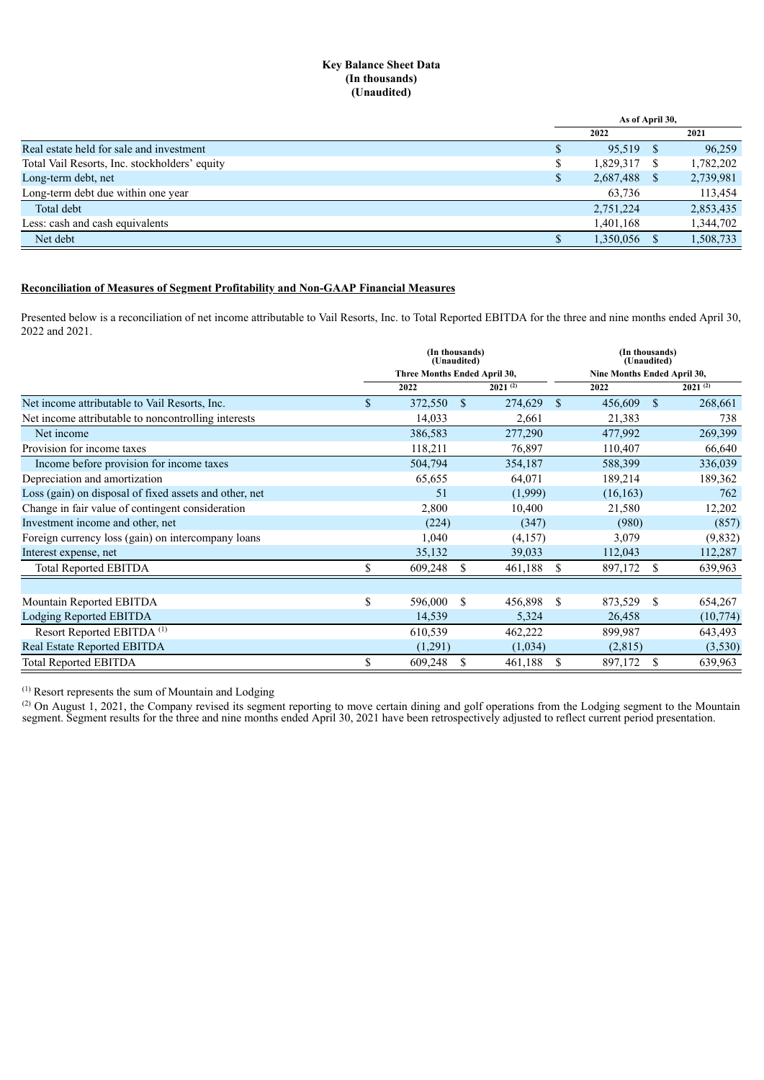#### **Key Balance Sheet Data (In thousands) (Unaudited)**

|                                               | As of April 30, |              |  |           |  |
|-----------------------------------------------|-----------------|--------------|--|-----------|--|
|                                               |                 | 2022         |  | 2021      |  |
| Real estate held for sale and investment      | S.              | 95.519 \$    |  | 96.259    |  |
| Total Vail Resorts, Inc. stockholders' equity | \$              | 1,829,317 \$ |  | 1,782,202 |  |
| Long-term debt, net                           | \$              | 2,687,488 \$ |  | 2,739,981 |  |
| Long-term debt due within one year            |                 | 63,736       |  | 113,454   |  |
| Total debt                                    |                 | 2,751,224    |  | 2,853,435 |  |
| Less: cash and cash equivalents               |                 | 1,401,168    |  | 1,344,702 |  |
| Net debt                                      |                 | 1,350,056 \$ |  | 1,508,733 |  |

#### **Reconciliation of Measures of Segment Profitability and Non-GAAP Financial Measures**

Presented below is a reconciliation of net income attributable to Vail Resorts, Inc. to Total Reported EBITDA for the three and nine months ended April 30, 2022 and 2021.

|                                                        | (In thousands)<br>(Unaudited) |                              |               |              |               | (In thousands)<br>(Unaudited) |               |              |  |  |
|--------------------------------------------------------|-------------------------------|------------------------------|---------------|--------------|---------------|-------------------------------|---------------|--------------|--|--|
|                                                        |                               | Three Months Ended April 30, |               |              |               | Nine Months Ended April 30,   |               |              |  |  |
|                                                        |                               | 2022                         |               | $2021^{(2)}$ |               | 2022                          |               | $2021^{(2)}$ |  |  |
| Net income attributable to Vail Resorts, Inc.          | \$                            | 372,550                      | <sup>S</sup>  | 274,629      | -S            | 456,609                       | <sup>S</sup>  | 268,661      |  |  |
| Net income attributable to noncontrolling interests    |                               | 14,033                       |               | 2,661        |               | 21,383                        |               | 738          |  |  |
| Net income                                             |                               | 386,583                      |               | 277,290      |               | 477,992                       |               | 269,399      |  |  |
| Provision for income taxes                             |                               | 118,211                      |               | 76,897       |               | 110,407                       |               | 66,640       |  |  |
| Income before provision for income taxes               |                               | 504,794                      |               | 354,187      |               | 588,399                       |               | 336,039      |  |  |
| Depreciation and amortization                          |                               | 65,655                       |               | 64,071       |               | 189,214                       |               | 189,362      |  |  |
| Loss (gain) on disposal of fixed assets and other, net |                               | 51                           |               | (1,999)      |               | (16, 163)                     |               | 762          |  |  |
| Change in fair value of contingent consideration       |                               | 2,800                        |               | 10,400       |               | 21,580                        |               | 12,202       |  |  |
| Investment income and other, net                       |                               | (224)                        |               | (347)        |               | (980)                         |               | (857)        |  |  |
| Foreign currency loss (gain) on intercompany loans     |                               | 1,040                        |               | (4,157)      |               | 3,079                         |               | (9,832)      |  |  |
| Interest expense, net                                  |                               | 35,132                       |               | 39,033       |               | 112,043                       |               | 112,287      |  |  |
| <b>Total Reported EBITDA</b>                           | \$                            | 609,248                      | <sup>\$</sup> | 461,188      | <sup>\$</sup> | 897,172                       | <sup>\$</sup> | 639,963      |  |  |
|                                                        |                               |                              |               |              |               |                               |               |              |  |  |
| Mountain Reported EBITDA                               | \$                            | 596,000                      | - \$          | 456,898      | - \$          | 873,529                       | - \$          | 654,267      |  |  |
| Lodging Reported EBITDA                                |                               | 14,539                       |               | 5,324        |               | 26,458                        |               | (10,774)     |  |  |
| Resort Reported EBITDA <sup>(1)</sup>                  |                               | 610,539                      |               | 462,222      |               | 899,987                       |               | 643,493      |  |  |
| Real Estate Reported EBITDA                            |                               | (1,291)                      |               | (1,034)      |               | (2,815)                       |               | (3,530)      |  |  |
| <b>Total Reported EBITDA</b>                           | \$                            | 609,248                      | S.            | 461,188      | <sup>\$</sup> | 897,172                       | <sup>S</sup>  | 639,963      |  |  |

 $(1)$  Resort represents the sum of Mountain and Lodging

On August 1, 2021, the Company revised its segment reporting to move certain dining and golf operations from the Lodging segment to the Mountain segment. Segment results for the three and nine months ended April 30, 2021 have been retrospectively adjusted to reflect current period presentation. (2)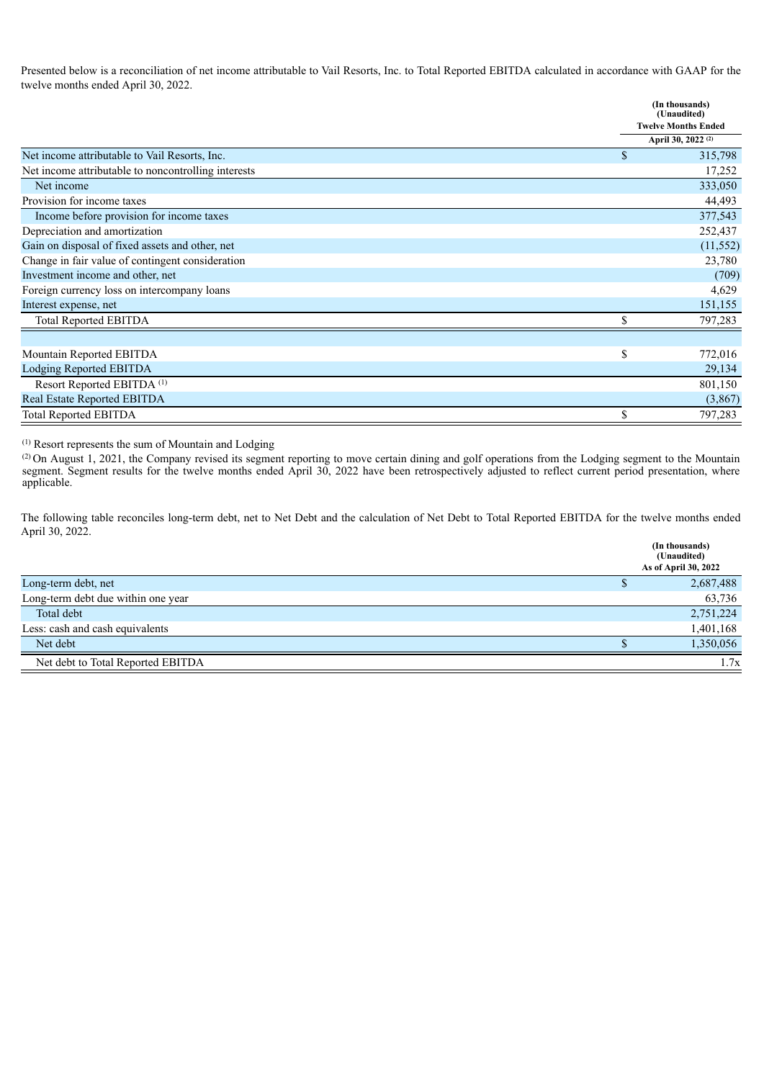Presented below is a reconciliation of net income attributable to Vail Resorts, Inc. to Total Reported EBITDA calculated in accordance with GAAP for the twelve months ended April 30, 2022.

|                                                     |               | (In thousands)<br>(Unaudited) |  |  |
|-----------------------------------------------------|---------------|-------------------------------|--|--|
|                                                     |               | <b>Twelve Months Ended</b>    |  |  |
|                                                     |               | April 30, 2022 <sup>(2)</sup> |  |  |
| Net income attributable to Vail Resorts, Inc.       | $\mathbf S$   | 315,798                       |  |  |
| Net income attributable to noncontrolling interests |               | 17,252                        |  |  |
| Net income                                          |               | 333,050                       |  |  |
| Provision for income taxes                          |               | 44,493                        |  |  |
| Income before provision for income taxes            |               | 377,543                       |  |  |
| Depreciation and amortization                       |               | 252,437                       |  |  |
| Gain on disposal of fixed assets and other, net     |               | (11, 552)                     |  |  |
| Change in fair value of contingent consideration    |               | 23,780                        |  |  |
| Investment income and other, net                    |               | (709)                         |  |  |
| Foreign currency loss on intercompany loans         |               | 4,629                         |  |  |
| Interest expense, net                               |               | 151,155                       |  |  |
| <b>Total Reported EBITDA</b>                        | \$            | 797,283                       |  |  |
|                                                     |               |                               |  |  |
| Mountain Reported EBITDA                            | <sup>\$</sup> | 772,016                       |  |  |
| Lodging Reported EBITDA                             |               | 29,134                        |  |  |
| Resort Reported EBITDA <sup>(1)</sup>               |               | 801,150                       |  |  |
| Real Estate Reported EBITDA                         |               | (3,867)                       |  |  |
| <b>Total Reported EBITDA</b>                        | \$            | 797,283                       |  |  |

 $(1)$  Resort represents the sum of Mountain and Lodging

 $^{(2)}$  On August 1, 2021, the Company revised its segment reporting to move certain dining and golf operations from the Lodging segment to the Mountain segment. Segment results for the twelve months ended April 30, 2022 have been retrospectively adjusted to reflect current period presentation, where applicable.

The following table reconciles long-term debt, net to Net Debt and the calculation of Net Debt to Total Reported EBITDA for the twelve months ended April 30, 2022.

|                                    | (In thousands)<br>(Unaudited) |
|------------------------------------|-------------------------------|
|                                    | As of April 30, 2022          |
| Long-term debt, net                | 2,687,488                     |
| Long-term debt due within one year | 63,736                        |
| Total debt                         | 2,751,224                     |
| Less: cash and cash equivalents    | 1,401,168                     |
| Net debt                           | 1,350,056                     |
| Net debt to Total Reported EBITDA  | 1.7x                          |